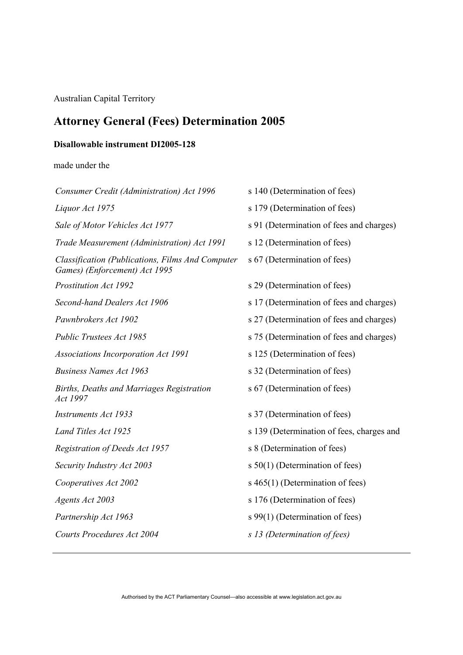Australian Capital Territory

# **Attorney General (Fees) Determination 2005**

# **Disallowable instrument DI2005-128**

made under the

| Consumer Credit (Administration) Act 1996                                         | s 140 (Determination of fees)             |
|-----------------------------------------------------------------------------------|-------------------------------------------|
| Liquor Act 1975                                                                   | s 179 (Determination of fees)             |
| Sale of Motor Vehicles Act 1977                                                   | s 91 (Determination of fees and charges)  |
| Trade Measurement (Administration) Act 1991                                       | s 12 (Determination of fees)              |
| Classification (Publications, Films And Computer<br>Games) (Enforcement) Act 1995 | s 67 (Determination of fees)              |
| <b>Prostitution Act 1992</b>                                                      | s 29 (Determination of fees)              |
| Second-hand Dealers Act 1906                                                      | s 17 (Determination of fees and charges)  |
| Pawnbrokers Act 1902                                                              | s 27 (Determination of fees and charges)  |
| Public Trustees Act 1985                                                          | s 75 (Determination of fees and charges)  |
| <b>Associations Incorporation Act 1991</b>                                        | s 125 (Determination of fees)             |
| <b>Business Names Act 1963</b>                                                    | s 32 (Determination of fees)              |
| Births, Deaths and Marriages Registration<br>Act 1997                             | s 67 (Determination of fees)              |
| <b>Instruments Act 1933</b>                                                       | s 37 (Determination of fees)              |
| Land Titles Act 1925                                                              | s 139 (Determination of fees, charges and |
| Registration of Deeds Act 1957                                                    | s 8 (Determination of fees)               |
| Security Industry Act 2003                                                        | s $50(1)$ (Determination of fees)         |
| Cooperatives Act 2002                                                             | s 465(1) (Determination of fees)          |
| Agents Act 2003                                                                   | s 176 (Determination of fees)             |
| Partnership Act 1963                                                              | s 99(1) (Determination of fees)           |
| Courts Procedures Act 2004                                                        | s 13 (Determination of fees)              |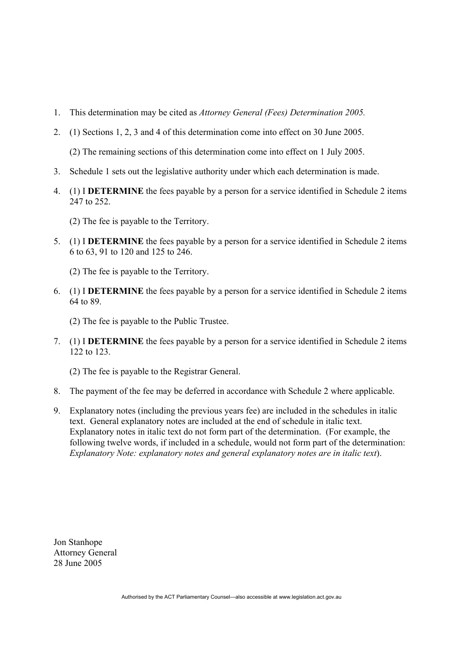- 1. This determination may be cited as *Attorney General (Fees) Determination 2005.*
- 2. (1) Sections 1, 2, 3 and 4 of this determination come into effect on 30 June 2005.

(2) The remaining sections of this determination come into effect on 1 July 2005.

- 3. Schedule 1 sets out the legislative authority under which each determination is made.
- 4. (1) I **DETERMINE** the fees payable by a person for a service identified in Schedule 2 items 247 to 252.
	- (2) The fee is payable to the Territory.
- 5. (1) I **DETERMINE** the fees payable by a person for a service identified in Schedule 2 items 6 to 63, 91 to 120 and 125 to 246.
	- (2) The fee is payable to the Territory.
- 6. (1) I **DETERMINE** the fees payable by a person for a service identified in Schedule 2 items 64 to 89.
	- (2) The fee is payable to the Public Trustee.
- 7. (1) I **DETERMINE** the fees payable by a person for a service identified in Schedule 2 items 122 to 123.
	- (2) The fee is payable to the Registrar General.
- 8. The payment of the fee may be deferred in accordance with Schedule 2 where applicable.
- 9. Explanatory notes (including the previous years fee) are included in the schedules in italic text. General explanatory notes are included at the end of schedule in italic text. Explanatory notes in italic text do not form part of the determination. (For example, the following twelve words, if included in a schedule, would not form part of the determination: *Explanatory Note: explanatory notes and general explanatory notes are in italic text*).

Jon Stanhope Attorney General 28 June 2005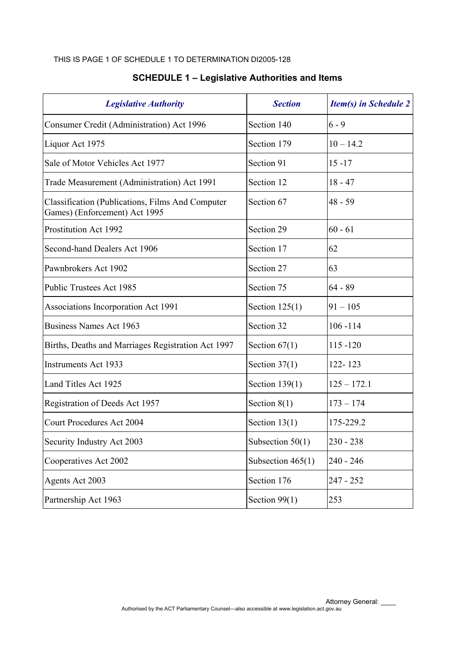#### THIS IS PAGE 1 OF SCHEDULE 1 TO DETERMINATION DI2005-128

| <b>Legislative Authority</b>                                                              | <b>Section</b>      | <b>Item(s) in Schedule 2</b> |
|-------------------------------------------------------------------------------------------|---------------------|------------------------------|
| Consumer Credit (Administration) Act 1996                                                 | Section 140         | $6 - 9$                      |
| Liquor Act 1975                                                                           | Section 179         | $10 - 14.2$                  |
| Sale of Motor Vehicles Act 1977                                                           | Section 91          | $15 - 17$                    |
| Trade Measurement (Administration) Act 1991                                               | Section 12          | $18 - 47$                    |
| <b>Classification (Publications, Films And Computer)</b><br>Games) (Enforcement) Act 1995 | Section 67          | $48 - 59$                    |
| Prostitution Act 1992                                                                     | Section 29          | $60 - 61$                    |
| Second-hand Dealers Act 1906                                                              | Section 17          | 62                           |
| Pawnbrokers Act 1902                                                                      | Section 27          | 63                           |
| Public Trustees Act 1985                                                                  | Section 75          | $64 - 89$                    |
| Associations Incorporation Act 1991                                                       | Section $125(1)$    | $91 - 105$                   |
| Business Names Act 1963                                                                   | Section 32          | $106 - 114$                  |
| Births, Deaths and Marriages Registration Act 1997                                        | Section $67(1)$     | $115 - 120$                  |
| <b>Instruments Act 1933</b>                                                               | Section $37(1)$     | 122-123                      |
| Land Titles Act 1925                                                                      | Section $139(1)$    | $125 - 172.1$                |
| Registration of Deeds Act 1957                                                            | Section $8(1)$      | $173 - 174$                  |
| <b>Court Procedures Act 2004</b>                                                          | Section $13(1)$     | 175-229.2                    |
| Security Industry Act 2003                                                                | Subsection $50(1)$  | 230 - 238                    |
| Cooperatives Act 2002                                                                     | Subsection $465(1)$ | $240 - 246$                  |
| Agents Act 2003                                                                           | Section 176         | 247 - 252                    |
| Partnership Act 1963                                                                      | Section $99(1)$     | 253                          |

# **SCHEDULE 1 – Legislative Authorities and Items**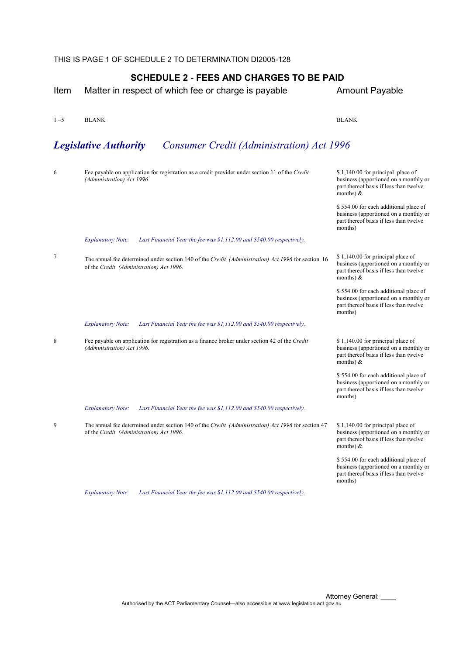THIS IS PAGE 1 OF SCHEDULE 2 TO DETERMINATION DI2005-128

| Item    | Matter in respect of which fee or charge is payable                                                                                            | <b>Amount Payable</b>                                                                                                                |
|---------|------------------------------------------------------------------------------------------------------------------------------------------------|--------------------------------------------------------------------------------------------------------------------------------------|
| $1 - 5$ | <b>BLANK</b>                                                                                                                                   | <b>BLANK</b>                                                                                                                         |
|         | <b>Legislative Authority</b><br><b>Consumer Credit (Administration) Act 1996</b>                                                               |                                                                                                                                      |
| 6       | Fee payable on application for registration as a credit provider under section 11 of the Credit<br>(Administration) Act 1996.                  | \$1,140.00 for principal place of<br>business (apportioned on a monthly or<br>part thereof basis if less than twelve<br>months) $\&$ |
|         |                                                                                                                                                | \$554.00 for each additional place of<br>business (apportioned on a monthly or<br>part thereof basis if less than twelve<br>months)  |
|         | Last Financial Year the fee was \$1,112.00 and \$540.00 respectively.<br><b>Explanatory Note:</b>                                              |                                                                                                                                      |
| 7       | The annual fee determined under section 140 of the Credit (Administration) Act 1996 for section 16<br>of the Credit (Administration) Act 1996. | \$1,140.00 for principal place of<br>business (apportioned on a monthly or<br>part thereof basis if less than twelve<br>months) $\&$ |
|         |                                                                                                                                                | \$554.00 for each additional place of<br>business (apportioned on a monthly or<br>part thereof basis if less than twelve<br>months)  |
|         | Last Financial Year the fee was \$1,112.00 and \$540.00 respectively.<br><b>Explanatory Note:</b>                                              |                                                                                                                                      |
| 8       | Fee payable on application for registration as a finance broker under section 42 of the Credit<br>(Administration) Act 1996.                   | \$1,140.00 for principal place of<br>business (apportioned on a monthly or<br>part thereof basis if less than twelve<br>months) $\&$ |
|         |                                                                                                                                                | \$554.00 for each additional place of<br>business (apportioned on a monthly or<br>part thereof basis if less than twelve<br>months)  |
|         | Last Financial Year the fee was \$1,112.00 and \$540.00 respectively.<br><b>Explanatory Note:</b>                                              |                                                                                                                                      |
| 9       | The annual fee determined under section 140 of the Credit (Administration) Act 1996 for section 47<br>of the Credit (Administration) Act 1996. | \$1,140.00 for principal place of<br>business (apportioned on a monthly or<br>part thereof basis if less than twelve<br>months) $\&$ |
|         |                                                                                                                                                | \$554.00 for each additional place of<br>business (apportioned on a monthly or<br>part thereof basis if less than twelve<br>months)  |
|         | Last Financial Year the fee was \$1,112.00 and \$540.00 respectively.<br><b>Explanatory Note:</b>                                              |                                                                                                                                      |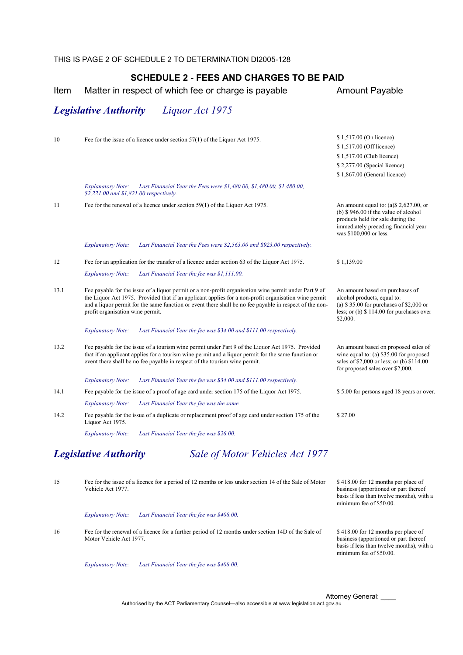| THIS IS PAGE 2 OF SCHEDULE 2 TO DETERMINATION DI2005-128 |
|----------------------------------------------------------|
|----------------------------------------------------------|

Item Matter in respect of which fee or charge is payable **Amount Payable** 

*Legislative Authority Liquor Act 1975* 

| 10   | Fee for the issue of a licence under section $57(1)$ of the Liquor Act 1975.                                                                                                                                                                                                                                                                                 | \$1,517.00 (On licence)                                                                                                                                                                |
|------|--------------------------------------------------------------------------------------------------------------------------------------------------------------------------------------------------------------------------------------------------------------------------------------------------------------------------------------------------------------|----------------------------------------------------------------------------------------------------------------------------------------------------------------------------------------|
|      |                                                                                                                                                                                                                                                                                                                                                              | \$1,517.00 (Off licence)                                                                                                                                                               |
|      |                                                                                                                                                                                                                                                                                                                                                              | \$1,517.00 (Club licence)                                                                                                                                                              |
|      |                                                                                                                                                                                                                                                                                                                                                              | \$2,277.00 (Special licence)                                                                                                                                                           |
|      |                                                                                                                                                                                                                                                                                                                                                              | \$1,867.00 (General licence)                                                                                                                                                           |
|      | Last Financial Year the Fees were \$1,480.00, \$1,480.00, \$1,480.00,<br><b>Explanatory Note:</b><br>\$2,221.00 and \$1,821.00 respectively.                                                                                                                                                                                                                 |                                                                                                                                                                                        |
| 11   | Fee for the renewal of a licence under section $59(1)$ of the Liquor Act 1975.                                                                                                                                                                                                                                                                               | An amount equal to: (a) \$2,627.00, or<br>(b) $$946.00$ if the value of alcohol<br>products held for sale during the<br>immediately preceding financial year<br>was \$100,000 or less. |
|      | <b>Explanatory Note:</b><br>Last Financial Year the Fees were \$2,563.00 and \$923.00 respectively.                                                                                                                                                                                                                                                          |                                                                                                                                                                                        |
| 12   | Fee for an application for the transfer of a licence under section 63 of the Liquor Act 1975.                                                                                                                                                                                                                                                                | \$1,139.00                                                                                                                                                                             |
|      | <b>Explanatory Note:</b><br>Last Financial Year the fee was \$1,111.00.                                                                                                                                                                                                                                                                                      |                                                                                                                                                                                        |
| 13.1 | Fee payable for the issue of a liquor permit or a non-profit organisation wine permit under Part 9 of<br>the Liquor Act 1975. Provided that if an applicant applies for a non-profit organisation wine permit<br>and a liquor permit for the same function or event there shall be no fee payable in respect of the non-<br>profit organisation wine permit. | An amount based on purchases of<br>alcohol products, equal to:<br>(a) $$35.00$ for purchases of $$2,000$ or<br>less; or $(b)$ \$ 114.00 for purchases over<br>\$2,000.                 |
|      | Last Financial Year the fee was \$34.00 and \$111.00 respectively.<br><b>Explanatory Note:</b>                                                                                                                                                                                                                                                               |                                                                                                                                                                                        |
| 13.2 | Fee payable for the issue of a tourism wine permit under Part 9 of the Liquor Act 1975. Provided<br>that if an applicant applies for a tourism wine permit and a liquor permit for the same function or<br>event there shall be no fee payable in respect of the tourism wine permit.                                                                        | An amount based on proposed sales of<br>wine equal to: (a) $$35.00$ for proposed<br>sales of \$2,000 or less; or (b) \$114.00<br>for proposed sales over \$2,000.                      |
|      | <b>Explanatory Note:</b><br>Last Financial Year the fee was \$34.00 and \$111.00 respectively.                                                                                                                                                                                                                                                               |                                                                                                                                                                                        |
| 14.1 | Fee payable for the issue of a proof of age card under section 175 of the Liquor Act 1975.                                                                                                                                                                                                                                                                   | \$5.00 for persons aged 18 years or over.                                                                                                                                              |
|      | Last Financial Year the fee was the same.<br><b>Explanatory Note:</b>                                                                                                                                                                                                                                                                                        |                                                                                                                                                                                        |
| 14.2 | Fee payable for the issue of a duplicate or replacement proof of age card under section 175 of the<br>Liquor Act 1975.                                                                                                                                                                                                                                       | \$27.00                                                                                                                                                                                |
|      | <b>Explanatory Note:</b><br>Last Financial Year the fee was \$26.00.                                                                                                                                                                                                                                                                                         |                                                                                                                                                                                        |
|      | <b>Legislative Authority</b><br>Sale of Motor Vehicles Act 1977                                                                                                                                                                                                                                                                                              |                                                                                                                                                                                        |
| 15   | Fee for the issue of a licence for a period of 12 months or less under section 14 of the Sale of Motor<br>Vehicle Act 1977.                                                                                                                                                                                                                                  | \$418.00 for 12 months per place of<br>business (apportioned or part thereof<br>basis if less than twelve months), with a<br>minimum fee of \$50.00.                                   |
|      | <b>Explanatory Note:</b><br>Last Financial Year the fee was \$408.00.                                                                                                                                                                                                                                                                                        |                                                                                                                                                                                        |

16 Fee for the renewal of a licence for a further period of 12 months under section 14D of the Sale of Motor Vehicle Act 1977.

*Explanatory Note: Last Financial Year the fee was \$408.00.*

| <b>Attorney General:</b> |  |
|--------------------------|--|
|--------------------------|--|

minimum fee of \$50.00.

\$418.00 for 12 months per place of business (apportioned or part thereof basis if less than twelve months), with a

Authorised by the ACT Parliamentary Counsel—also accessible at www.legislation.act.gov.au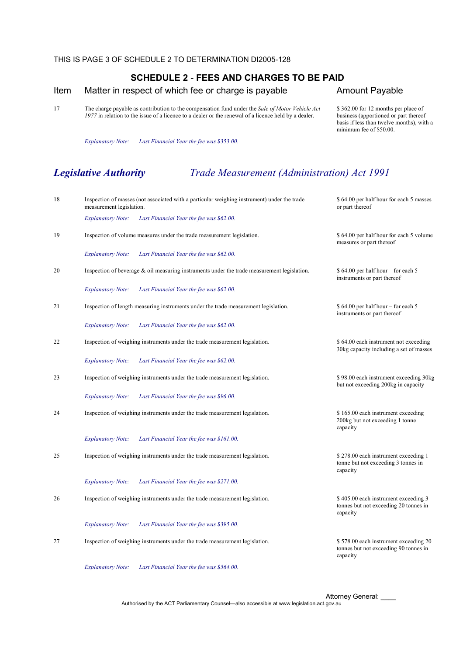\$ 362.00 for 12 months per place of business (apportioned or part thereof basis if less than twelve months), with a

minimum fee of \$50.00.

#### Item Matter in respect of which fee or charge is payable **Amount Payable**

17 The charge payable as contribution to the compensation fund under the *Sale of Motor Vehicle Act 1977* in relation to the issue of a licence to a dealer or the renewal of a licence held by a dealer.

*Explanatory Note: Last Financial Year the fee was \$353.00.*

# *Legislative Authority Trade Measurement (Administration) Act 1991*

| 18 | measurement legislation. | Inspection of masses (not associated with a particular weighing instrument) under the trade    | \$64.00 per half hour for each 5 masses<br>or part thereof                                 |
|----|--------------------------|------------------------------------------------------------------------------------------------|--------------------------------------------------------------------------------------------|
|    | <b>Explanatory Note:</b> | Last Financial Year the fee was \$62.00.                                                       |                                                                                            |
| 19 |                          | Inspection of volume measures under the trade measurement legislation.                         | \$64.00 per half hour for each 5 volume<br>measures or part thereof                        |
|    | <b>Explanatory Note:</b> | Last Financial Year the fee was \$62.00.                                                       |                                                                                            |
| 20 |                          | Inspection of beverage $\&$ oil measuring instruments under the trade measurement legislation. | $$64.00$ per half hour – for each 5<br>instruments or part thereof                         |
|    | <b>Explanatory Note:</b> | Last Financial Year the fee was \$62.00.                                                       |                                                                                            |
| 21 |                          | Inspection of length measuring instruments under the trade measurement legislation.            | $$64.00$ per half hour – for each 5<br>instruments or part thereof                         |
|    | <b>Explanatory Note:</b> | Last Financial Year the fee was \$62.00.                                                       |                                                                                            |
| 22 |                          | Inspection of weighing instruments under the trade measurement legislation.                    | \$64.00 each instrument not exceeding<br>30kg capacity including a set of masses           |
|    | <b>Explanatory Note:</b> | Last Financial Year the fee was \$62.00.                                                       |                                                                                            |
| 23 |                          | Inspection of weighing instruments under the trade measurement legislation.                    | \$98.00 each instrument exceeding 30kg<br>but not exceeding 200kg in capacity              |
|    | <b>Explanatory Note:</b> | Last Financial Year the fee was \$96.00.                                                       |                                                                                            |
| 24 |                          | Inspection of weighing instruments under the trade measurement legislation.                    | \$165.00 each instrument exceeding<br>200kg but not exceeding 1 tonne<br>capacity          |
|    | <b>Explanatory Note:</b> | Last Financial Year the fee was \$161.00.                                                      |                                                                                            |
| 25 |                          | Inspection of weighing instruments under the trade measurement legislation.                    | \$278.00 each instrument exceeding 1<br>tonne but not exceeding 3 tonnes in<br>capacity    |
|    | <b>Explanatory Note:</b> | Last Financial Year the fee was \$271.00.                                                      |                                                                                            |
| 26 |                          | Inspection of weighing instruments under the trade measurement legislation.                    | \$405.00 each instrument exceeding 3<br>tonnes but not exceeding 20 tonnes in<br>capacity  |
|    | <b>Explanatory Note:</b> | Last Financial Year the fee was \$395.00.                                                      |                                                                                            |
| 27 |                          | Inspection of weighing instruments under the trade measurement legislation.                    | \$578.00 each instrument exceeding 20<br>tonnes but not exceeding 90 tonnes in<br>capacity |
|    | <b>Explanatory Note:</b> | Last Financial Year the fee was \$564.00.                                                      |                                                                                            |

Attorney General: \_\_\_\_ Authorised by the ACT Parliamentary Counsel—also accessible at www.legislation.act.gov.au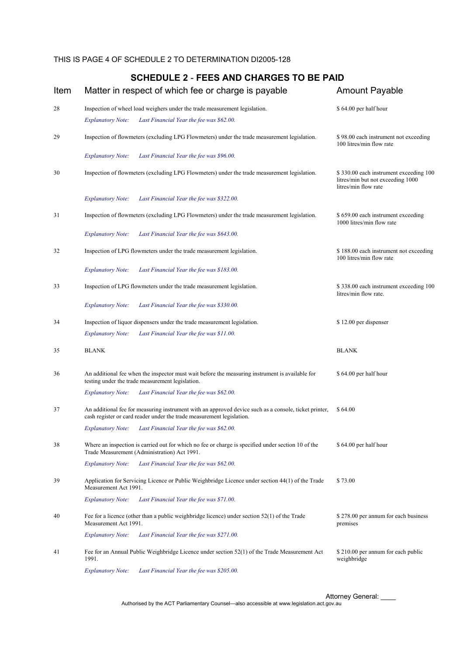| Item | Matter in respect of which fee or charge is payable                                                                                                                            | <b>Amount Payable</b>                                                                               |
|------|--------------------------------------------------------------------------------------------------------------------------------------------------------------------------------|-----------------------------------------------------------------------------------------------------|
| 28   | Inspection of wheel load weighers under the trade measurement legislation.<br>Last Financial Year the fee was \$62.00.<br><b>Explanatory Note:</b>                             | \$64.00 per half hour                                                                               |
| 29   | Inspection of flowmeters (excluding LPG Flowmeters) under the trade measurement legislation.                                                                                   | \$98.00 each instrument not exceeding<br>100 litres/min flow rate                                   |
|      | Last Financial Year the fee was \$96.00.<br><b>Explanatory Note:</b>                                                                                                           |                                                                                                     |
| 30   | Inspection of flowmeters (excluding LPG Flowmeters) under the trade measurement legislation.                                                                                   | \$330.00 each instrument exceeding 100<br>litres/min but not exceeding 1000<br>litres/min flow rate |
|      | Last Financial Year the fee was \$322.00.<br><b>Explanatory Note:</b>                                                                                                          |                                                                                                     |
| 31   | Inspection of flowmeters (excluding LPG Flowmeters) under the trade measurement legislation.                                                                                   | \$659.00 each instrument exceeding<br>1000 litres/min flow rate                                     |
|      | Last Financial Year the fee was \$643.00.<br><b>Explanatory Note:</b>                                                                                                          |                                                                                                     |
| 32   | Inspection of LPG flowmeters under the trade measurement legislation.                                                                                                          | \$188.00 each instrument not exceeding<br>100 litres/min flow rate                                  |
|      | <b>Explanatory Note:</b><br>Last Financial Year the fee was \$183.00.                                                                                                          |                                                                                                     |
| 33   | Inspection of LPG flowmeters under the trade measurement legislation.                                                                                                          | \$338.00 each instrument exceeding 100<br>litres/min flow rate.                                     |
|      | Last Financial Year the fee was \$330.00.<br><b>Explanatory Note:</b>                                                                                                          |                                                                                                     |
| 34   | Inspection of liquor dispensers under the trade measurement legislation.                                                                                                       | \$12.00 per dispenser                                                                               |
|      | Last Financial Year the fee was \$11.00.<br><b>Explanatory Note:</b>                                                                                                           |                                                                                                     |
| 35   | <b>BLANK</b>                                                                                                                                                                   | <b>BLANK</b>                                                                                        |
| 36   | An additional fee when the inspector must wait before the measuring instrument is available for<br>testing under the trade measurement legislation.                            | \$64.00 per half hour                                                                               |
|      | Last Financial Year the fee was \$62.00.<br><b>Explanatory Note:</b>                                                                                                           |                                                                                                     |
| 37   | An additional fee for measuring instrument with an approved device such as a console, ticket printer,<br>cash register or card reader under the trade measurement legislation. | \$64.00                                                                                             |
|      | <i>Explanatory Note:</i><br>Last Financial Year the fee was \$62.00.                                                                                                           |                                                                                                     |
| 38   | Where an inspection is carried out for which no fee or charge is specified under section 10 of the<br>Trade Measurement (Administration) Act 1991.                             | \$64.00 per half hour                                                                               |
|      | Last Financial Year the fee was \$62.00.<br><b>Explanatory Note:</b>                                                                                                           |                                                                                                     |
| 39   | Application for Servicing Licence or Public Weighbridge Licence under section 44(1) of the Trade<br>Measurement Act 1991.                                                      | \$73.00                                                                                             |
|      | <b>Explanatory Note:</b><br>Last Financial Year the fee was \$71.00.                                                                                                           |                                                                                                     |
| 40   | Fee for a licence (other than a public weighbridge licence) under section $52(1)$ of the Trade<br>Measurement Act 1991.                                                        | \$278.00 per annum for each business<br>premises                                                    |
|      | <b>Explanatory Note:</b><br>Last Financial Year the fee was \$271.00.                                                                                                          |                                                                                                     |
| 41   | Fee for an Annual Public Weighbridge Licence under section 52(1) of the Trade Measurement Act<br>1991.                                                                         | \$210.00 per annum for each public<br>weighbridge                                                   |
|      | <b>Explanatory Note:</b><br>Last Financial Year the fee was \$205.00.                                                                                                          |                                                                                                     |

Attorney General: \_\_\_\_ Authorised by the ACT Parliamentary Counsel—also accessible at www.legislation.act.gov.au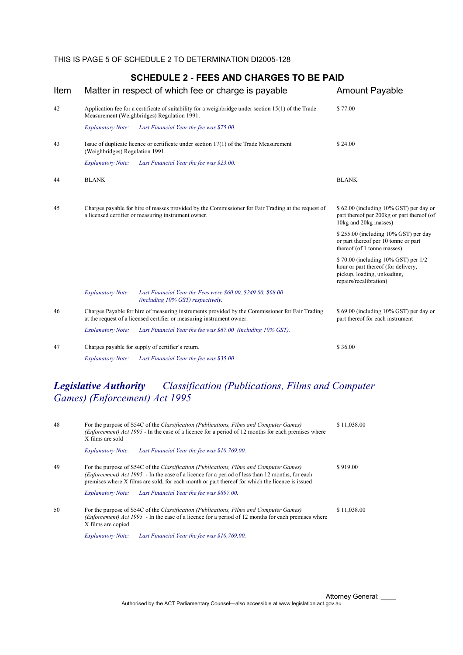#### Item Matter in respect of which fee or charge is payable Amount Payable 42 Application fee for a certificate of suitability for a weighbridge under section 15(1) of the Trade Measurement (Weighbridges) Regulation 1991. \$ 77.00 *Explanatory Note: Last Financial Year the fee was \$75.00.* 43 Issue of duplicate licence or certificate under section 17(1) of the Trade Measurement (Weighbridges) Regulation 1991. \$ 24.00 *Explanatory Note: Last Financial Year the fee was \$23.00.* 44 BLANK BLANK 45 Charges payable for hire of masses provided by the Commissioner for Fair Trading at the request of a licensed certifier or measuring instrument owner. \$ 62.00 (including 10% GST) per day or part thereof per 200kg or part thereof (of 10kg and 20kg masses) \$ 255.00 (including 10% GST) per day or part thereof per 10 tonne or part thereof (of 1 tonne masses) \$ 70.00 (including 10% GST) per 1/2 hour or part thereof (for delivery, pickup, loading, unloading, repairs/recalibration) *Explanatory Note: Last Financial Year the Fees were \$60.00, \$249.00, \$68.00 (including 10% GST) respectively.* 46 Charges Payable for hire of measuring instruments provided by the Commissioner for Fair Trading at the request of a licensed certifier or measuring instrument owner. \$ 69.00 (including 10% GST) per day or part thereof for each instrument *Explanatory Note: Last Financial Year the fee was \$67.00 (including 10% GST).* 47 Charges payable for supply of certifier's return.  $$36.00$ *Explanatory Note: Last Financial Year the fee was \$35.00.*

#### **SCHEDULE 2** - **FEES AND CHARGES TO BE PAID**

# *Legislative Authority Classification (Publications, Films and Computer Games) (Enforcement) Act 1995*

| 48 | For the purpose of S54C of the Classification (Publications, Films and Computer Games)<br>\$11,038.00<br>( <i>Enforcement</i> ) Act 1995 - In the case of a licence for a period of 12 months for each premises where<br>X films are sold                                                             |             |  |
|----|-------------------------------------------------------------------------------------------------------------------------------------------------------------------------------------------------------------------------------------------------------------------------------------------------------|-------------|--|
|    | Last Financial Year the fee was \$10,769.00.<br><b>Explanatory Note:</b>                                                                                                                                                                                                                              |             |  |
| 49 | For the purpose of S54C of the Classification (Publications, Films and Computer Games)<br>( <i>Enforcement</i> ) Act 1995 - In the case of a licence for a period of less than 12 months, for each<br>premises where X films are sold, for each month or part thereof for which the licence is issued | \$919.00    |  |
|    | Last Financial Year the fee was \$897.00.<br><i>Explanatory Note:</i>                                                                                                                                                                                                                                 |             |  |
| 50 | For the purpose of S54C of the Classification (Publications, Films and Computer Games)<br>( <i>Enforcement</i> ) Act 1995 - In the case of a licence for a period of 12 months for each premises where<br>X films are copied                                                                          | \$11,038.00 |  |
|    | <b>Explanatory Note:</b><br>Last Financial Year the fee was \$10,769.00.                                                                                                                                                                                                                              |             |  |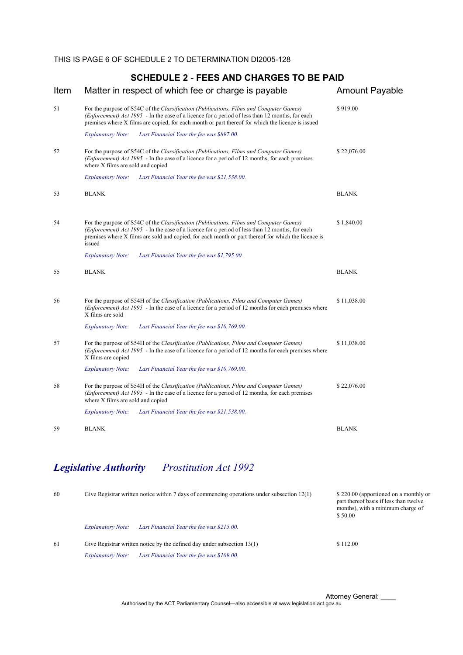| Item | Matter in respect of which fee or charge is payable                                                                                                                                                                                                                                                        | <b>Amount Payable</b> |
|------|------------------------------------------------------------------------------------------------------------------------------------------------------------------------------------------------------------------------------------------------------------------------------------------------------------|-----------------------|
| 51   | For the purpose of S54C of the Classification (Publications, Films and Computer Games)<br>( <i>Enforcement</i> ) Act 1995 - In the case of a licence for a period of less than 12 months, for each<br>premises where X films are copied, for each month or part thereof for which the licence is issued    | \$919.00              |
|      | <b>Explanatory Note:</b><br>Last Financial Year the fee was \$897.00.                                                                                                                                                                                                                                      |                       |
| 52   | For the purpose of S54C of the Classification (Publications, Films and Computer Games)<br>( <i>Enforcement</i> ) Act 1995 - In the case of a licence for a period of 12 months, for each premises<br>where X films are sold and copied                                                                     | \$22,076.00           |
|      | <b>Explanatory Note:</b><br>Last Financial Year the fee was \$21,538.00.                                                                                                                                                                                                                                   |                       |
| 53   | <b>BLANK</b>                                                                                                                                                                                                                                                                                               | <b>BLANK</b>          |
| 54   | For the purpose of S54C of the Classification (Publications, Films and Computer Games)<br>(Enforcement) Act 1995 - In the case of a licence for a period of less than 12 months, for each<br>premises where X films are sold and copied, for each month or part thereof for which the licence is<br>issued | \$1,840.00            |
|      | <b>Explanatory Note:</b><br>Last Financial Year the fee was \$1,795.00.                                                                                                                                                                                                                                    |                       |
| 55   | <b>BLANK</b>                                                                                                                                                                                                                                                                                               | <b>BLANK</b>          |
| 56   | For the purpose of S54H of the Classification (Publications, Films and Computer Games)<br>(Enforcement) Act 1995 - In the case of a licence for a period of 12 months for each premises where<br>X films are sold                                                                                          | \$11,038.00           |
|      | <b>Explanatory Note:</b><br>Last Financial Year the fee was \$10,769.00.                                                                                                                                                                                                                                   |                       |
| 57   | For the purpose of S54H of the <i>Classification (Publications, Films and Computer Games)</i><br>( <i>Enforcement</i> ) Act 1995 - In the case of a licence for a period of 12 months for each premises where<br>X films are copied                                                                        | \$11,038.00           |
|      | <b>Explanatory Note:</b><br>Last Financial Year the fee was \$10,769.00.                                                                                                                                                                                                                                   |                       |
| 58   | For the purpose of S54H of the Classification (Publications, Films and Computer Games)<br>( <i>Enforcement</i> ) Act 1995 - In the case of a licence for a period of 12 months, for each premises<br>where X films are sold and copied                                                                     | \$22,076.00           |
|      | <b>Explanatory Note:</b><br>Last Financial Year the fee was \$21,538.00.                                                                                                                                                                                                                                   |                       |
| 59   | <b>BLANK</b>                                                                                                                                                                                                                                                                                               | <b>BLANK</b>          |
|      |                                                                                                                                                                                                                                                                                                            |                       |

# *Legislative Authority Prostitution Act 1992*

| 60 | Give Registrar written notice within 7 days of commencing operations under subsection $12(1)$ |                                           | \$220.00 (apportioned on a monthly or<br>part thereof basis if less than twelve<br>months), with a minimum charge of<br>\$50.00 |  |
|----|-----------------------------------------------------------------------------------------------|-------------------------------------------|---------------------------------------------------------------------------------------------------------------------------------|--|
|    | <b>Explanatory Note:</b>                                                                      | Last Financial Year the fee was \$215.00. |                                                                                                                                 |  |
| 61 | Give Registrar written notice by the defined day under subsection 13(1)                       |                                           | \$112.00                                                                                                                        |  |
|    | <b>Explanatory Note:</b>                                                                      | Last Financial Year the fee was \$109.00. |                                                                                                                                 |  |

Attorney General: \_\_\_\_ Authorised by the ACT Parliamentary Counsel—also accessible at www.legislation.act.gov.au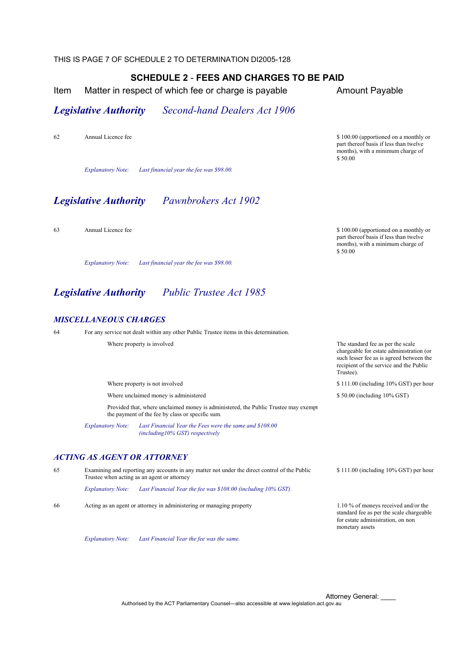THIS IS PAGE 7 OF SCHEDULE 2 TO DETERMINATION DI2005-128

#### **SCHEDULE 2** - **FEES AND CHARGES TO BE PAID**

Item Matter in respect of which fee or charge is payable Amount Payable

part thereof basis if less than twelve months), with a minimum charge of

part thereof basis if less than twelve months), with a minimum charge of

chargeable for estate administration (or such lesser fee as is agreed between the recipient of the service and the Public

\$ 50.00 (including 10% GST)

\$ 50.00

\$ 50.00

Trustee).

## *Legislative Authority Second-hand Dealers Act 1906*

62 Annual Licence fee \$ 100.00 (apportioned on a monthly or

*Explanatory Note: Last financial year the fee was \$98.00.*

## *Legislative Authority Pawnbrokers Act 1902*

63 Annual Licence fee \$ 100.00 (apportioned on a monthly or

*Explanatory Note: Last financial year the fee was \$98.00.*

# *Legislative Authority Public Trustee Act 1985*

#### *MISCELLANEOUS CHARGES*

64 For any service not dealt within any other Public Trustee items in this determination.

Where property is involved The standard fee as per the scale

Where property is not involved \$ 111.00 (including 10% GST) per hour

Where unclaimed money is administered

 Provided that, where unclaimed money is administered, the Public Trustee may exempt the payment of the fee by class or specific sum.

*Explanatory Note: Last Financial Year the Fees were the same and \$108.00 (including10% GST) respectively*

#### *ACTING AS AGENT OR ATTORNEY*

65 Examining and reporting any accounts in any matter not under the direct control of the Public Trustee when acting as an agent or attorney

*Explanatory Note: Last Financial Year the fee was \$108.00 (including 10% GST).*

66 Acting as an agent or attorney in administering or managing property 1.10 % of moneys received and/or the

standard fee as per the scale chargeable for estate administration, on non monetary assets

\$ 111.00 (including 10% GST) per hour

*Explanatory Note: Last Financial Year the fee was the same.*

Attorney General: Authorised by the ACT Parliamentary Counsel—also accessible at www.legislation.act.gov.au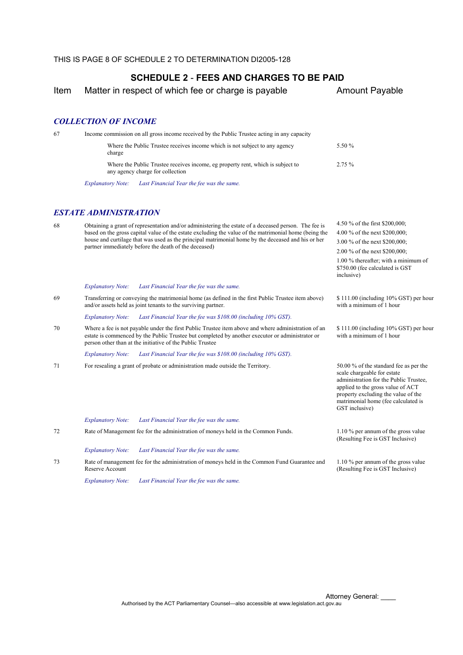Item Matter in respect of which fee or charge is payable Amount Payable

4.50 % of the first \$200,000; 4.00 % of the next \$200,000; 3.00 % of the next \$200,000; 2.00 % of the next \$200,000; 1.00 % thereafter; with a minimum of \$750.00 (fee calculated is GST

\$ 111.00 (including 10% GST) per hour

\$ 111.00 (including 10% GST) per hour

with a minimum of 1 hour

with a minimum of 1 hour

scale chargeable for estate administration for the Public Trustee, applied to the gross value of ACT property excluding the value of the matrimonial home (fee calculated is

(Resulting Fee is GST Inclusive)

GST inclusive)

inclusive)

#### *COLLECTION OF INCOME*

| Income commission on all gross income received by the Public Trustee acting in any capacity<br>67 |                                     |                                                                                                                     |        |  |
|---------------------------------------------------------------------------------------------------|-------------------------------------|---------------------------------------------------------------------------------------------------------------------|--------|--|
|                                                                                                   | charge                              | Where the Public Trustee receives income which is not subject to any agency                                         | 5.50 % |  |
|                                                                                                   |                                     | Where the Public Trustee receives income, eg property rent, which is subject to<br>any agency charge for collection | 2.75%  |  |
|                                                                                                   | <i>Explanatory Note:</i>            | Last Financial Year the fee was the same.                                                                           |        |  |
|                                                                                                   | <i><b>ESTATE ADMINISTRATION</b></i> |                                                                                                                     |        |  |

68 Obtaining a grant of representation and/or administering the estate of a deceased person. The fee is based on the gross capital value of the estate excluding the value of the matrimonial home (being the house and curtilage that was used as the principal matrimonial home by the deceased and his or her partner immediately before the death of the deceased)

*Explanatory Note: Last Financial Year the fee was the same.*

69 Transferring or conveying the matrimonial home (as defined in the first Public Trustee item above) and/or assets held as joint tenants to the surviving partner.

*Explanatory Note: Last Financial Year the fee was \$108.00 (including 10% GST).*

70 Where a fee is not payable under the first Public Trustee item above and where administration of an estate is commenced by the Public Trustee but completed by another executor or administrator or person other than at the initiative of the Public Trustee

*Explanatory Note: Last Financial Year the fee was \$108.00 (including 10% GST).*

- 71 For resealing a grant of probate or administration made outside the Territory. 50.00 % of the standard fee as per the
	- *Explanatory Note: Last Financial Year the fee was the same.*

72 Rate of Management fee for the administration of moneys held in the Common Funds. 1.10 % per annum of the gross value

*Explanatory Note: Last Financial Year the fee was the same.*

73 Rate of management fee for the administration of moneys held in the Common Fund Guarantee and Reserve Account 1.10 % per annum of the gross value (Resulting Fee is GST Inclusive)

*Explanatory Note: Last Financial Year the fee was the same.*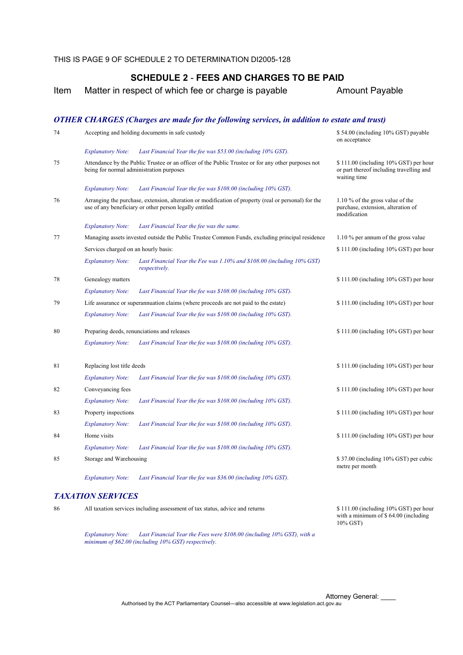Item Matter in respect of which fee or charge is payable **Amount Payable** 

#### *OTHER CHARGES (Charges are made for the following services, in addition to estate and trust)* 74 Accepting and holding documents in safe custody \$ 54.00 (including 10% GST) payable on acceptance *Explanatory Note: Last Financial Year the fee was \$53.00 (including 10% GST).* 75 Attendance by the Public Trustee or an officer of the Public Trustee or for any other purposes not being for normal administration purposes \$ 111.00 (including 10% GST) per hour or part thereof including travelling and waiting time *Explanatory Note: Last Financial Year the fee was \$108.00 (including 10% GST).* 76 Arranging the purchase, extension, alteration or modification of property (real or personal) for the use of any beneficiary or other person legally entitled 1.10 % of the gross value of the purchase, extension, alteration of modification *Explanatory Note: Last Financial Year the fee was the same.* 77 Managing assets invested outside the Public Trustee Common Funds, excluding principal residence 1.10 % per annum of the gross value Services charged on an hourly basis: \$ 111.00 (including 10% GST) per hour *Explanatory Note: Last Financial Year the Fee was 1.10% and \$108.00 (including 10% GST) respectively.* 78 Genealogy matters \$ 111.00 (including 10% GST) per hour *Explanatory Note: Last Financial Year the fee was \$108.00 (including 10% GST).* 79 Life assurance or superannuation claims (where proceeds are not paid to the estate) \$ 111.00 (including 10% GST) per hour *Explanatory Note: Last Financial Year the fee was \$108.00 (including 10% GST).* 80 Preparing deeds, renunciations and releases \$ 111.00 (including 10% GST) per hour *Explanatory Note: Last Financial Year the fee was \$108.00 (including 10% GST).* 81 Replacing lost title deeds \$ 111.00 (including 10% GST) per hour *Explanatory Note: Last Financial Year the fee was \$108.00 (including 10% GST).* 82 Conveyancing fees **S** 111.00 (including 10% GST) per hour *Explanatory Note: Last Financial Year the fee was \$108.00 (including 10% GST).* 83 Property inspections **S111.00** (including 10% GST) per hour *Explanatory Note: Last Financial Year the fee was \$108.00 (including 10% GST).* 84 Home visits **Example 10% GST)** per hour state state state state state state state state state state state state state state state state state state state state state state state state state state state state state state *Explanatory Note: Last Financial Year the fee was \$108.00 (including 10% GST).* 85 Storage and Warehousing Storage and Warehousing Storage and Warehousing Storage and Warehousing Storage and Warehousing Storage and Storage and Marchael Storage and Marchael Storage and Marchael Storage and Marchael Sto metre per month *Explanatory Note: Last Financial Year the fee was \$36.00 (including 10% GST). TAXATION SERVICES*

*Explanatory Note: Last Financial Year the Fees were \$108.00 (including 10% GST), with a minimum of \$62.00 (including 10% GST) respectively.*

86 All taxation services including assessment of tax status, advice and returns \$ 111.00 (including 10% GST) per hour with a minimum of \$ 64.00 (including 10% GST)

> Attorney General: \_ Authorised by the ACT Parliamentary Counsel—also accessible at www.legislation.act.gov.au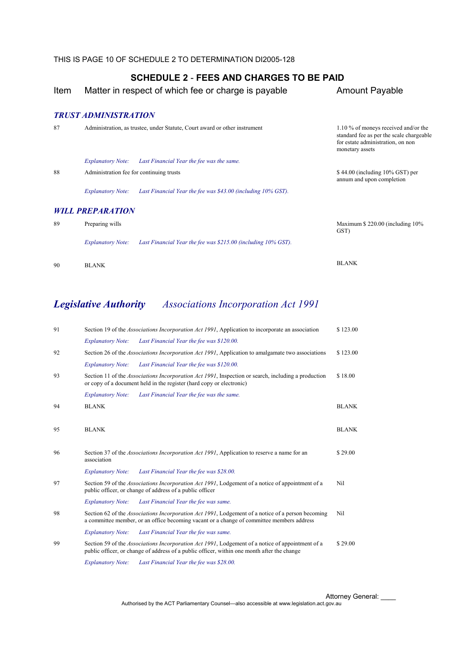Item Matter in respect of which fee or charge is payable **Amount Payable** 

*TRUST ADMINISTRATION* 

| 87 |                                          | Administration, as trustee, under Statute, Court award or other instrument | 1.10 % of moneys received and/or the<br>standard fee as per the scale chargeable<br>for estate administration, on non<br>monetary assets |
|----|------------------------------------------|----------------------------------------------------------------------------|------------------------------------------------------------------------------------------------------------------------------------------|
|    | <i>Explanatory Note:</i>                 | Last Financial Year the fee was the same.                                  |                                                                                                                                          |
| 88 | Administration fee for continuing trusts |                                                                            | $$44.00$ (including 10% GST) per<br>annum and upon completion                                                                            |
|    | <b>Explanatory Note:</b>                 | Last Financial Year the fee was \$43.00 (including 10% GST).               |                                                                                                                                          |
|    | <b>WILL PREPARATION</b>                  |                                                                            |                                                                                                                                          |
| 89 | Preparing wills                          |                                                                            | Maximum $$220.00$ (including $10\%$ )<br>GST)                                                                                            |
|    | <b>Explanatory Note:</b>                 | Last Financial Year the fee was $$215.00$ (including $10\%$ GST).          |                                                                                                                                          |
| 90 | <b>BLANK</b>                             |                                                                            | <b>BLANK</b>                                                                                                                             |

# *Legislative Authority Associations Incorporation Act 1991*

| 91 |                          | Section 19 of the <i>Associations Incorporation Act 1991</i> , Application to incorporate an association                                                                                                | \$123.00     |
|----|--------------------------|---------------------------------------------------------------------------------------------------------------------------------------------------------------------------------------------------------|--------------|
|    | <b>Explanatory Note:</b> | Last Financial Year the fee was \$120.00.                                                                                                                                                               |              |
| 92 |                          | Section 26 of the <i>Associations Incorporation Act 1991</i> , Application to amalgamate two associations                                                                                               | \$123.00     |
|    | <b>Explanatory Note:</b> | Last Financial Year the fee was \$120.00.                                                                                                                                                               |              |
| 93 |                          | Section 11 of the <i>Associations Incorporation Act 1991</i> , Inspection or search, including a production<br>or copy of a document held in the register (hard copy or electronic)                     | \$18.00      |
|    | <b>Explanatory Note:</b> | Last Financial Year the fee was the same.                                                                                                                                                               |              |
| 94 | <b>BLANK</b>             |                                                                                                                                                                                                         | <b>BLANK</b> |
|    |                          |                                                                                                                                                                                                         |              |
| 95 | <b>BLANK</b>             |                                                                                                                                                                                                         | <b>BLANK</b> |
|    |                          |                                                                                                                                                                                                         |              |
| 96 | association              | Section 37 of the <i>Associations Incorporation Act 1991</i> , Application to reserve a name for an                                                                                                     | \$29.00      |
|    | <b>Explanatory Note:</b> | Last Financial Year the fee was \$28.00.                                                                                                                                                                |              |
| 97 |                          | Section 59 of the Associations Incorporation Act 1991, Lodgement of a notice of appointment of a<br>public officer, or change of address of a public officer                                            | Nil          |
|    | <b>Explanatory Note:</b> | Last Financial Year the fee was same.                                                                                                                                                                   |              |
| 98 |                          | Section 62 of the Associations Incorporation Act 1991, Lodgement of a notice of a person becoming<br>a committee member, or an office becoming vacant or a change of committee members address          | Nil          |
|    | <b>Explanatory Note:</b> | Last Financial Year the fee was same.                                                                                                                                                                   |              |
| 99 |                          | Section 59 of the <i>Associations Incorporation Act 1991</i> , Lodgement of a notice of appointment of a<br>public officer, or change of address of a public officer, within one month after the change | \$29.00      |
|    | <b>Explanatory Note:</b> | Last Financial Year the fee was \$28.00.                                                                                                                                                                |              |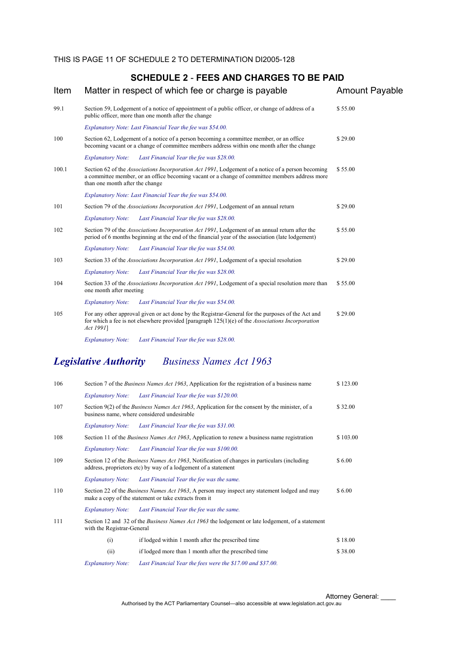| Item  | Matter in respect of which fee or charge is payable                                                                                                                                                                                    | <b>Amount Payable</b> |
|-------|----------------------------------------------------------------------------------------------------------------------------------------------------------------------------------------------------------------------------------------|-----------------------|
| 99.1  | Section 59, Lodgement of a notice of appointment of a public officer, or change of address of a<br>public officer, more than one month after the change                                                                                | \$55.00               |
|       | Explanatory Note: Last Financial Year the fee was \$54.00.                                                                                                                                                                             |                       |
| 100   | Section 62, Lodgement of a notice of a person becoming a committee member, or an office<br>becoming vacant or a change of committee members address within one month after the change                                                  | \$29.00               |
|       | Last Financial Year the fee was \$28.00.<br><b>Explanatory Note:</b>                                                                                                                                                                   |                       |
| 100.1 | Section 62 of the Associations Incorporation Act 1991, Lodgement of a notice of a person becoming<br>a committee member, or an office becoming vacant or a change of committee members address more<br>than one month after the change | \$55.00               |
|       | Explanatory Note: Last Financial Year the fee was \$54.00.                                                                                                                                                                             |                       |
| 101   | Section 79 of the <i>Associations Incorporation Act 1991</i> , Lodgement of an annual return                                                                                                                                           | \$29.00               |
|       | <b>Explanatory Note:</b><br>Last Financial Year the fee was \$28.00.                                                                                                                                                                   |                       |
| 102   | Section 79 of the <i>Associations Incorporation Act 1991</i> , Lodgement of an annual return after the<br>period of 6 months beginning at the end of the financial year of the association (late lodgement)                            | \$55.00               |
|       | Last Financial Year the fee was \$54.00.<br><b>Explanatory Note:</b>                                                                                                                                                                   |                       |
| 103   | Section 33 of the <i>Associations Incorporation Act 1991</i> , Lodgement of a special resolution                                                                                                                                       | \$29.00               |
|       | <b>Explanatory Note:</b><br>Last Financial Year the fee was \$28.00.                                                                                                                                                                   |                       |
| 104   | Section 33 of the <i>Associations Incorporation Act 1991</i> , Lodgement of a special resolution more than<br>one month after meeting                                                                                                  | \$55.00               |
|       | <b>Explanatory Note:</b><br>Last Financial Year the fee was \$54.00.                                                                                                                                                                   |                       |
| 105   | For any other approval given or act done by the Registrar-General for the purposes of the Act and<br>for which a fee is not elsewhere provided [paragraph $125(1)(e)$ of the <i>Associations Incorporation</i><br>Act 1991]            | \$29.00               |
|       | Last Financial Year the fee was \$28.00.<br><b>Explanatory Note:</b>                                                                                                                                                                   |                       |
|       |                                                                                                                                                                                                                                        |                       |

# *Legislative Authority Business Names Act 1963*

| 106 |                            | Section 7 of the <i>Business Names Act 1963</i> , Application for the registration of a business name                                                                  | \$123.00 |
|-----|----------------------------|------------------------------------------------------------------------------------------------------------------------------------------------------------------------|----------|
|     | <i>Explanatory Note:</i>   | Last Financial Year the fee was \$120.00.                                                                                                                              |          |
| 107 |                            | Section 9(2) of the <i>Business Names Act 1963</i> , Application for the consent by the minister, of a<br>business name, where considered undesirable                  | \$32.00  |
|     | <b>Explanatory Note:</b>   | Last Financial Year the fee was \$31.00.                                                                                                                               |          |
| 108 |                            | Section 11 of the <i>Business Names Act 1963</i> , Application to renew a business name registration                                                                   | \$103.00 |
|     | <i>Explanatory Note:</i>   | Last Financial Year the fee was \$100.00.                                                                                                                              |          |
| 109 |                            | Section 12 of the <i>Business Names Act 1963</i> , Notification of changes in particulars (including<br>address, proprietors etc) by way of a lodgement of a statement | \$6.00   |
|     | <i>Explanatory Note:</i>   | Last Financial Year the fee was the same.                                                                                                                              |          |
| 110 |                            | Section 22 of the Business Names Act 1963, A person may inspect any statement lodged and may<br>make a copy of the statement or take extracts from it                  | \$6.00   |
|     | <b>Explanatory Note:</b>   | Last Financial Year the fee was the same.                                                                                                                              |          |
| 111 | with the Registrar-General | Section 12 and 32 of the <i>Business Names Act 1963</i> the lodgement or late lodgement, of a statement                                                                |          |
|     | (i)                        | if lodged within 1 month after the prescribed time                                                                                                                     | \$18.00  |
|     | (ii)                       | if lodged more than 1 month after the prescribed time                                                                                                                  | \$38.00  |
|     | <b>Explanatory Note:</b>   | Last Financial Year the fees were the \$17.00 and \$37.00.                                                                                                             |          |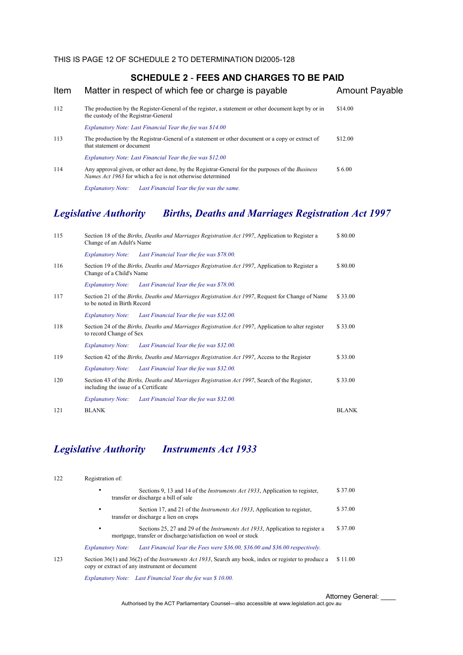| Item | Matter in respect of which fee or charge is payable                                                                                                                          | <b>Amount Payable</b> |
|------|------------------------------------------------------------------------------------------------------------------------------------------------------------------------------|-----------------------|
| 112  | The production by the Register-General of the register, a statement or other document kept by or in<br>the custody of the Registrar-General                                  | \$14.00               |
|      | Explanatory Note: Last Financial Year the fee was \$14.00                                                                                                                    |                       |
| 113  | The production by the Registrar-General of a statement or other document or a copy or extract of<br>that statement or document                                               | \$12.00               |
|      | Explanatory Note: Last Financial Year the fee was \$12.00                                                                                                                    |                       |
| 114  | Any approval given, or other act done, by the Registrar-General for the purposes of the <i>Business</i><br><i>Names Act 1963</i> for which a fee is not otherwise determined | \$6.00                |
|      |                                                                                                                                                                              |                       |

*Explanatory Note: Last Financial Year the fee was the same.* 

# *Legislative Authority Births, Deaths and Marriages Registration Act 1997*

| 115 | Change of an Adult's Name            | Section 18 of the Births, Deaths and Marriages Registration Act 1997, Application to Register a     | \$80.00      |
|-----|--------------------------------------|-----------------------------------------------------------------------------------------------------|--------------|
|     | <b>Explanatory Note:</b>             | Last Financial Year the fee was \$78.00.                                                            |              |
| 116 | Change of a Child's Name             | Section 19 of the Births, Deaths and Marriages Registration Act 1997, Application to Register a     | \$80.00      |
|     | <b>Explanatory Note:</b>             | Last Financial Year the fee was \$78.00.                                                            |              |
| 117 | to be noted in Birth Record          | Section 21 of the Births, Deaths and Marriages Registration Act 1997, Request for Change of Name    | \$33.00      |
|     | <b>Explanatory Note:</b>             | Last Financial Year the fee was \$32.00.                                                            |              |
| 118 | to record Change of Sex              | Section 24 of the Births, Deaths and Marriages Registration Act 1997, Application to alter register | \$33.00      |
|     | <b>Explanatory Note:</b>             | Last Financial Year the fee was \$32.00.                                                            |              |
| 119 |                                      | Section 42 of the Births, Deaths and Marriages Registration Act 1997, Access to the Register        | \$33.00      |
|     | <b>Explanatory Note:</b>             | Last Financial Year the fee was \$32.00.                                                            |              |
| 120 | including the issue of a Certificate | Section 43 of the Births, Deaths and Marriages Registration Act 1997, Search of the Register,       | \$33.00      |
|     | <b>Explanatory Note:</b>             | Last Financial Year the fee was \$32.00.                                                            |              |
| 121 | <b>BLANK</b>                         |                                                                                                     | <b>BLANK</b> |

# *Legislative Authority Instruments Act 1933*

| 122 | Registration of:                                                                                                                                              |                                                                                                                                                                         |         |  |  |
|-----|---------------------------------------------------------------------------------------------------------------------------------------------------------------|-------------------------------------------------------------------------------------------------------------------------------------------------------------------------|---------|--|--|
|     | ٠<br>transfer or discharge a bill of sale                                                                                                                     | Sections 9, 13 and 14 of the <i>Instruments Act 1933</i> , Application to register,                                                                                     | \$37.00 |  |  |
|     | Section 17, and 21 of the <i>Instruments Act 1933</i> , Application to register,<br>٠<br>transfer or discharge a lien on crops                                |                                                                                                                                                                         | \$37.00 |  |  |
|     | ٠                                                                                                                                                             | Sections 25, 27 and 29 of the <i>Instruments Act 1933</i> , Application to register a<br>mortgage, transfer or discharge/satisfaction on wool or stock                  | \$37.00 |  |  |
|     | <b>Explanatory Note:</b>                                                                                                                                      | Last Financial Year the Fees were \$36.00, \$36.00 and \$36.00 respectively.                                                                                            |         |  |  |
| 123 | Section 36(1) and 36(2) of the <i>Instruments Act 1933</i> , Search any book, index or register to produce a<br>copy or extract of any instrument or document |                                                                                                                                                                         |         |  |  |
|     |                                                                                                                                                               | $F_{1}$ , $I_{2}$ , $I_{3}$ , $I_{4}$ , $I_{5}$ , $I_{6}$ , $I_{7}$ , $I_{8}$ , $I_{1}$ , $I_{1}$ , $I_{2}$ , $I_{3}$ , $I_{4}$ , $I_{5}$ , $I_{6}$ , $I_{7}$ , $I_{8}$ |         |  |  |

*Explanatory Note: Last Financial Year the fee was \$ 10.00.* 

Attorney General: \_\_\_\_

Authorised by the ACT Parliamentary Counsel—also accessible at www.legislation.act.gov.au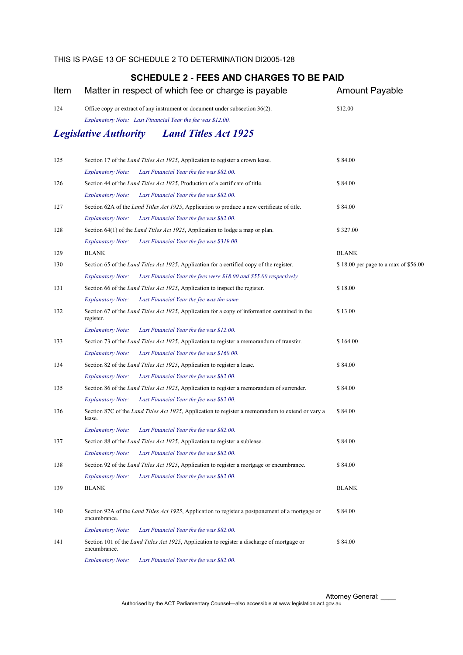| Item |                              | Matter in respect of which fee or charge is payable                                                                                        | <b>Amount Payable</b>                |
|------|------------------------------|--------------------------------------------------------------------------------------------------------------------------------------------|--------------------------------------|
| 124  |                              | Office copy or extract of any instrument or document under subsection 36(2).<br>Explanatory Note: Last Financial Year the fee was \$12.00. | \$12.00                              |
|      | <b>Legislative Authority</b> | <b>Land Titles Act 1925</b>                                                                                                                |                                      |
| 125  |                              | Section 17 of the <i>Land Titles Act 1925</i> , Application to register a crown lease.                                                     | \$84.00                              |
|      | <b>Explanatory Note:</b>     | Last Financial Year the fee was \$82.00.                                                                                                   |                                      |
| 126  |                              | Section 44 of the <i>Land Titles Act 1925</i> , Production of a certificate of title.                                                      | \$84.00                              |
|      | <b>Explanatory Note:</b>     | Last Financial Year the fee was \$82.00.                                                                                                   |                                      |
| 127  |                              | Section 62A of the <i>Land Titles Act 1925</i> , Application to produce a new certificate of title.                                        | \$84.00                              |
|      | <b>Explanatory Note:</b>     | Last Financial Year the fee was \$82.00.                                                                                                   |                                      |
| 128  |                              | Section 64(1) of the <i>Land Titles Act 1925</i> , Application to lodge a map or plan.                                                     | \$327.00                             |
|      | <b>Explanatory Note:</b>     | Last Financial Year the fee was \$319.00.                                                                                                  |                                      |
| 129  | <b>BLANK</b>                 |                                                                                                                                            | <b>BLANK</b>                         |
| 130  |                              | Section 65 of the <i>Land Titles Act 1925</i> , Application for a certified copy of the register.                                          | \$18.00 per page to a max of \$56.00 |
|      | <b>Explanatory Note:</b>     | Last Financial Year the fees were \$18.00 and \$55.00 respectively                                                                         |                                      |
| 131  |                              | Section 66 of the <i>Land Titles Act 1925</i> , Application to inspect the register.                                                       | \$18.00                              |
|      | <b>Explanatory Note:</b>     | Last Financial Year the fee was the same.                                                                                                  |                                      |
| 132  | register.                    | Section 67 of the <i>Land Titles Act 1925</i> , Application for a copy of information contained in the                                     | \$13.00                              |
|      | <b>Explanatory Note:</b>     | Last Financial Year the fee was \$12.00.                                                                                                   |                                      |
| 133  |                              | Section 73 of the <i>Land Titles Act 1925</i> , Application to register a memorandum of transfer.                                          | \$164.00                             |
|      | <b>Explanatory Note:</b>     | Last Financial Year the fee was \$160.00.                                                                                                  |                                      |
| 134  |                              | Section 82 of the <i>Land Titles Act 1925</i> , Application to register a lease.                                                           | \$84.00                              |
|      | <b>Explanatory Note:</b>     | Last Financial Year the fee was \$82.00.                                                                                                   |                                      |
| 135  |                              | Section 86 of the <i>Land Titles Act 1925</i> , Application to register a memorandum of surrender.                                         | \$84.00                              |
|      | <b>Explanatory Note:</b>     | Last Financial Year the fee was \$82.00.                                                                                                   |                                      |
| 136  | lease.                       | Section 87C of the <i>Land Titles Act 1925</i> , Application to register a memorandum to extend or vary a                                  | \$84.00                              |
|      | <b>Explanatory Note:</b>     | Last Financial Year the fee was \$82.00.                                                                                                   |                                      |
| 137  |                              | Section 88 of the <i>Land Titles Act 1925</i> , Application to register a sublease.                                                        | \$84.00                              |
|      | <b>Explanatory Note:</b>     | Last Financial Year the fee was \$82.00.                                                                                                   |                                      |
| 138  |                              | Section 92 of the <i>Land Titles Act 1925</i> , Application to register a mortgage or encumbrance.                                         | \$84.00                              |
|      | <b>Explanatory Note:</b>     | Last Financial Year the fee was \$82.00.                                                                                                   |                                      |
| 139  | <b>BLANK</b>                 |                                                                                                                                            | <b>BLANK</b>                         |
| 140  | encumbrance.                 | Section 92A of the Land Titles Act 1925, Application to register a postponement of a mortgage or                                           | \$84.00                              |
|      | <b>Explanatory Note:</b>     | Last Financial Year the fee was \$82.00.                                                                                                   |                                      |
| 141  | encumbrance.                 | Section 101 of the Land Titles Act 1925, Application to register a discharge of mortgage or                                                | \$84.00                              |
|      | <b>Explanatory Note:</b>     | Last Financial Year the fee was \$82.00.                                                                                                   |                                      |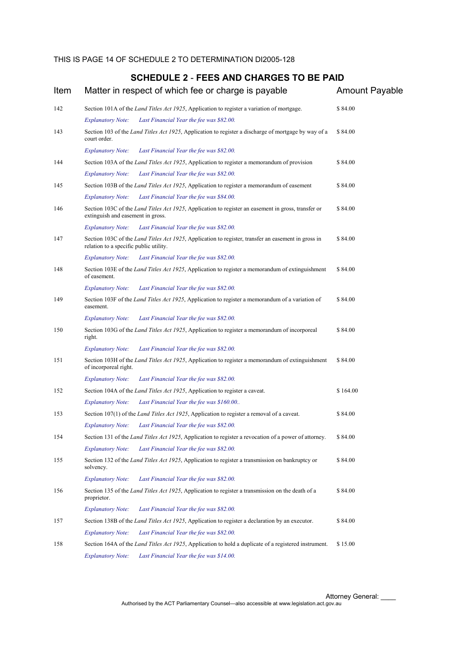| Item |                                        | Matter in respect of which fee or charge is payable                                                           | <b>Amount Payable</b> |
|------|----------------------------------------|---------------------------------------------------------------------------------------------------------------|-----------------------|
| 142  |                                        | Section 101A of the <i>Land Titles Act 1925</i> , Application to register a variation of mortgage.            | \$84.00               |
|      | <b>Explanatory Note:</b>               | Last Financial Year the fee was \$82.00.                                                                      |                       |
| 143  | court order.                           | Section 103 of the Land Titles Act 1925, Application to register a discharge of mortgage by way of a          | \$84.00               |
|      | <b>Explanatory Note:</b>               | Last Financial Year the fee was \$82.00.                                                                      |                       |
| 144  |                                        | Section 103A of the <i>Land Titles Act 1925</i> , Application to register a memorandum of provision           | \$84.00               |
|      | <b>Explanatory Note:</b>               | Last Financial Year the fee was \$82.00.                                                                      |                       |
| 145  |                                        | Section 103B of the <i>Land Titles Act 1925</i> , Application to register a memorandum of easement            | \$84.00               |
|      | <b>Explanatory Note:</b>               | Last Financial Year the fee was \$84.00.                                                                      |                       |
| 146  | extinguish and easement in gross.      | Section 103C of the Land Titles Act 1925, Application to register an easement in gross, transfer or           | \$84.00               |
|      | <b>Explanatory Note:</b>               | Last Financial Year the fee was \$82.00.                                                                      |                       |
| 147  | relation to a specific public utility. | Section 103C of the Land Titles Act 1925, Application to register, transfer an easement in gross in           | \$84.00               |
|      | <b>Explanatory Note:</b>               | Last Financial Year the fee was \$82.00.                                                                      |                       |
| 148  | of easement.                           | Section 103E of the <i>Land Titles Act 1925</i> , Application to register a memorandum of extinguishment      | \$84.00               |
|      | <b>Explanatory Note:</b>               | Last Financial Year the fee was \$82.00.                                                                      |                       |
| 149  | easement.                              | Section 103F of the Land Titles Act 1925, Application to register a memorandum of a variation of              | \$84.00               |
|      | <b>Explanatory Note:</b>               | Last Financial Year the fee was \$82.00.                                                                      |                       |
| 150  | right.                                 | Section 103G of the <i>Land Titles Act 1925</i> , Application to register a memorandum of incorporeal         | \$84.00               |
|      | <b>Explanatory Note:</b>               | Last Financial Year the fee was \$82.00.                                                                      |                       |
| 151  | of incorporeal right.                  | Section 103H of the <i>Land Titles Act 1925</i> , Application to register a memorandum of extinguishment      | \$84.00               |
|      | <b>Explanatory Note:</b>               | Last Financial Year the fee was \$82.00.                                                                      |                       |
| 152  |                                        | Section 104A of the <i>Land Titles Act 1925</i> , Application to register a caveat.                           | \$164.00              |
|      | <b>Explanatory Note:</b>               | Last Financial Year the fee was \$160.00                                                                      |                       |
| 153  |                                        | Section 107(1) of the <i>Land Titles Act 1925</i> , Application to register a removal of a caveat.            | \$84.00               |
|      | <b>Explanatory Note:</b>               | Last Financial Year the fee was \$82.00.                                                                      |                       |
| 154  |                                        | Section 131 of the <i>Land Titles Act 1925</i> , Application to register a revocation of a power of attorney. | \$84.00               |
|      | <b>Explanatory Note:</b>               | Last Financial Year the fee was \$82.00.                                                                      |                       |
| 155  | solvency.                              | Section 132 of the Land Titles Act 1925, Application to register a transmission on bankruptcy or              | \$84.00               |
|      | <b>Explanatory Note:</b>               | Last Financial Year the fee was \$82.00.                                                                      |                       |
| 156  | proprietor.                            | Section 135 of the <i>Land Titles Act 1925</i> , Application to register a transmission on the death of a     | \$84.00               |
|      | <b>Explanatory Note:</b>               | Last Financial Year the fee was \$82.00.                                                                      |                       |
| 157  |                                        | Section 138B of the <i>Land Titles Act 1925</i> , Application to register a declaration by an executor.       | \$84.00               |
|      | <b>Explanatory Note:</b>               | Last Financial Year the fee was \$82.00.                                                                      |                       |
| 158  |                                        | Section 164A of the <i>Land Titles Act 1925</i> , Application to hold a duplicate of a registered instrument. | \$15.00               |
|      | <b>Explanatory Note:</b>               | Last Financial Year the fee was \$14.00.                                                                      |                       |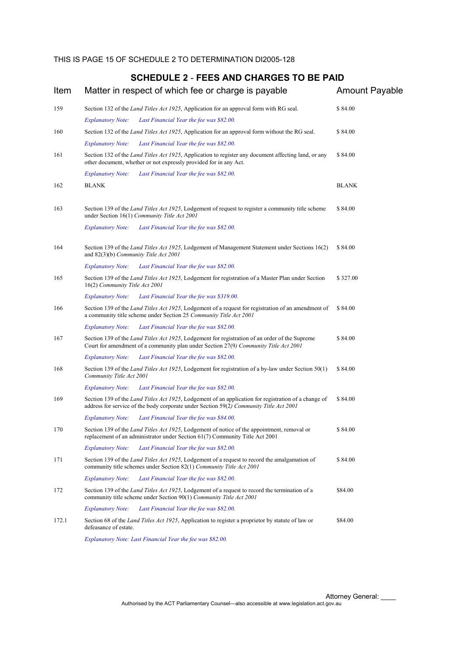| Item  | Matter in respect of which fee or charge is payable                                                                                                                                            | <b>Amount Payable</b> |
|-------|------------------------------------------------------------------------------------------------------------------------------------------------------------------------------------------------|-----------------------|
| 159   | Section 132 of the <i>Land Titles Act 1925</i> , Application for an approval form with RG seal.<br>Last Financial Year the fee was \$82.00.<br><b>Explanatory Note:</b>                        | \$84.00               |
| 160   | Section 132 of the <i>Land Titles Act 1925</i> , Application for an approval form without the RG seal.                                                                                         | \$84.00               |
|       | <b>Explanatory Note:</b><br>Last Financial Year the fee was \$82.00.                                                                                                                           |                       |
| 161   | Section 132 of the Land Titles Act 1925, Application to register any document affecting land, or any<br>other document, whether or not expressly provided for in any Act.                      | \$84.00               |
|       | <b>Explanatory Note:</b><br>Last Financial Year the fee was \$82.00.                                                                                                                           |                       |
| 162   | <b>BLANK</b>                                                                                                                                                                                   | <b>BLANK</b>          |
| 163   | Section 139 of the Land Titles Act 1925, Lodgement of request to register a community title scheme<br>under Section 16(1) Community Title Act 2001                                             | \$84.00               |
|       | <b>Explanatory Note:</b><br>Last Financial Year the fee was \$82.00.                                                                                                                           |                       |
| 164   | Section 139 of the Land Titles Act 1925, Lodgement of Management Statement under Sections 16(2)<br>and $82(3)(b)$ Community Title Act 2001                                                     | \$84.00               |
|       | <b>Explanatory Note:</b><br>Last Financial Year the fee was \$82.00.                                                                                                                           |                       |
| 165   | Section 139 of the Land Titles Act 1925, Lodgement for registration of a Master Plan under Section<br>16(2) Community Title Act 2001                                                           | \$327.00              |
|       | <b>Explanatory Note:</b><br>Last Financial Year the fee was \$319.00.                                                                                                                          |                       |
| 166   | Section 139 of the Land Titles Act 1925, Lodgement of a request for registration of an amendment of<br>a community title scheme under Section 25 Community Title Act 2001                      | \$84.00               |
|       | <b>Explanatory Note:</b><br>Last Financial Year the fee was \$82.00.                                                                                                                           |                       |
| 167   | Section 139 of the <i>Land Titles Act 1925</i> , Lodgement for registration of an order of the Supreme<br>Court for amendment of a community plan under Section 27(9) Community Title Act 2001 | \$84.00               |
|       | <b>Explanatory Note:</b><br>Last Financial Year the fee was \$82.00.                                                                                                                           |                       |
| 168   | Section 139 of the <i>Land Titles Act 1925</i> , Lodgement for registration of a by-law under Section 50(1)<br>Community Title Act 2001                                                        | \$84.00               |
|       | <b>Explanatory Note:</b><br>Last Financial Year the fee was \$82.00.                                                                                                                           |                       |
| 169   | Section 139 of the Land Titles Act 1925, Lodgement of an application for registration of a change of<br>address for service of the body corporate under Section 59(2) Community Title Act 2001 | \$84.00               |
|       | Last Financial Year the fee was \$84.00.<br><b>Explanatory Note:</b>                                                                                                                           |                       |
| 170   | Section 139 of the Land Titles Act 1925, Lodgement of notice of the appointment, removal or<br>replacement of an administrator under Section 61(7) Community Title Act 2001                    | \$84.00               |
|       | <b>Explanatory Note:</b><br>Last Financial Year the fee was \$82.00.                                                                                                                           |                       |
| 171   | Section 139 of the <i>Land Titles Act 1925</i> , Lodgement of a request to record the amalgamation of<br>community title schemes under Section 82(1) Community Title Act 2001                  | \$84.00               |
|       | <b>Explanatory Note:</b><br>Last Financial Year the fee was \$82.00.                                                                                                                           |                       |
| 172   | Section 139 of the <i>Land Titles Act 1925</i> , Lodgement of a request to record the termination of a<br>community title scheme under Section 90(1) Community Title Act 2001                  | \$84.00               |
|       | Last Financial Year the fee was \$82.00.<br><b>Explanatory Note:</b>                                                                                                                           |                       |
| 172.1 | Section 68 of the <i>Land Titles Act 1925</i> , Application to register a proprietor by statute of law or<br>defeasance of estate.                                                             | \$84.00               |
|       | Explanatory Note: Last Financial Year the fee was \$82.00.                                                                                                                                     |                       |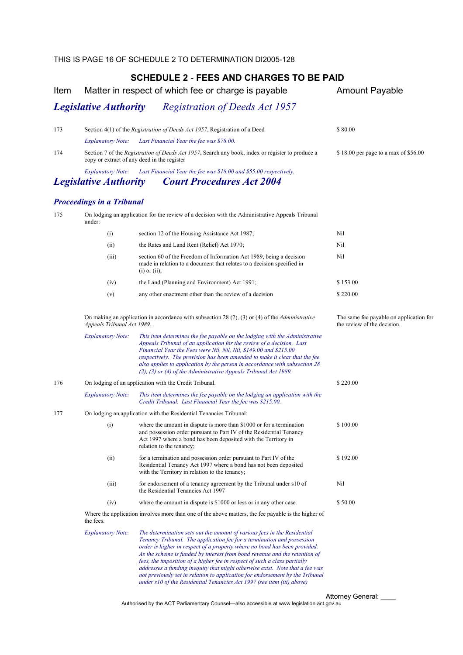| Item |                                                                    | Matter in respect of which fee or charge is payable                                                                                                                                                                                                                                                                                                                                                                                                                                                                                                                                                                                   | <b>Amount Payable</b>                                                  |  |
|------|--------------------------------------------------------------------|---------------------------------------------------------------------------------------------------------------------------------------------------------------------------------------------------------------------------------------------------------------------------------------------------------------------------------------------------------------------------------------------------------------------------------------------------------------------------------------------------------------------------------------------------------------------------------------------------------------------------------------|------------------------------------------------------------------------|--|
|      | <b>Legislative Authority</b>                                       | <b>Registration of Deeds Act 1957</b>                                                                                                                                                                                                                                                                                                                                                                                                                                                                                                                                                                                                 |                                                                        |  |
| 173  |                                                                    | Section 4(1) of the Registration of Deeds Act 1957, Registration of a Deed                                                                                                                                                                                                                                                                                                                                                                                                                                                                                                                                                            | \$80.00                                                                |  |
|      | <b>Explanatory Note:</b>                                           | Last Financial Year the fee was \$78.00.                                                                                                                                                                                                                                                                                                                                                                                                                                                                                                                                                                                              |                                                                        |  |
| 174  |                                                                    | Section 7 of the <i>Registration of Deeds Act 1957</i> , Search any book, index or register to produce a<br>copy or extract of any deed in the register                                                                                                                                                                                                                                                                                                                                                                                                                                                                               | \$18.00 per page to a max of \$56.00                                   |  |
|      | <b>Explanatory Note:</b><br><b>Legislative Authority</b>           | Last Financial Year the fee was \$18.00 and \$55.00 respectively.<br><b>Court Procedures Act 2004</b>                                                                                                                                                                                                                                                                                                                                                                                                                                                                                                                                 |                                                                        |  |
|      | <b>Proceedings in a Tribunal</b>                                   |                                                                                                                                                                                                                                                                                                                                                                                                                                                                                                                                                                                                                                       |                                                                        |  |
| 175  | under:                                                             | On lodging an application for the review of a decision with the Administrative Appeals Tribunal                                                                                                                                                                                                                                                                                                                                                                                                                                                                                                                                       |                                                                        |  |
|      | (i)                                                                | section 12 of the Housing Assistance Act 1987;                                                                                                                                                                                                                                                                                                                                                                                                                                                                                                                                                                                        | Nil                                                                    |  |
|      | (ii)                                                               | the Rates and Land Rent (Relief) Act 1970;                                                                                                                                                                                                                                                                                                                                                                                                                                                                                                                                                                                            | Nil                                                                    |  |
|      | (iii)                                                              | section 60 of the Freedom of Information Act 1989, being a decision<br>made in relation to a document that relates to a decision specified in<br>$(i)$ or $(ii)$ ;                                                                                                                                                                                                                                                                                                                                                                                                                                                                    | Nil                                                                    |  |
|      | (iv)                                                               | the Land (Planning and Environment) Act 1991;                                                                                                                                                                                                                                                                                                                                                                                                                                                                                                                                                                                         | \$153.00                                                               |  |
|      | (v)                                                                | any other enactment other than the review of a decision                                                                                                                                                                                                                                                                                                                                                                                                                                                                                                                                                                               | \$220.00                                                               |  |
|      | Appeals Tribunal Act 1989.                                         | On making an application in accordance with subsection 28 (2), (3) or (4) of the <i>Administrative</i>                                                                                                                                                                                                                                                                                                                                                                                                                                                                                                                                | The same fee payable on application for<br>the review of the decision. |  |
|      | <b>Explanatory Note:</b>                                           | This item determines the fee payable on the lodging with the Administrative<br>Appeals Tribunal of an application for the review of a decision. Last<br>Financial Year the Fees were Nil, Nil, Nil, \$149.00 and \$215.00<br>respectively. The provision has been amended to make it clear that the fee<br>also applies to application by the person in accordance with subsection 28<br>$(2)$ , $(3)$ or $(4)$ of the Administrative Appeals Tribunal Act 1989.                                                                                                                                                                      |                                                                        |  |
| 176  |                                                                    | On lodging of an application with the Credit Tribunal.                                                                                                                                                                                                                                                                                                                                                                                                                                                                                                                                                                                | \$220.00                                                               |  |
|      | <b>Explanatory Note:</b>                                           | This item determines the fee payable on the lodging an application with the<br>Credit Tribunal. Last Financial Year the fee was \$215.00.                                                                                                                                                                                                                                                                                                                                                                                                                                                                                             |                                                                        |  |
| 177  | On lodging an application with the Residential Tenancies Tribunal: |                                                                                                                                                                                                                                                                                                                                                                                                                                                                                                                                                                                                                                       |                                                                        |  |
|      | (i)                                                                | where the amount in dispute is more than \$1000 or for a termination<br>and possession order pursuant to Part IV of the Residential Tenancy<br>Act 1997 where a bond has been deposited with the Territory in<br>relation to the tenancy;                                                                                                                                                                                                                                                                                                                                                                                             | \$100.00                                                               |  |
|      | (ii)                                                               | for a termination and possession order pursuant to Part IV of the<br>Residential Tenancy Act 1997 where a bond has not been deposited<br>with the Territory in relation to the tenancy;                                                                                                                                                                                                                                                                                                                                                                                                                                               | \$192.00                                                               |  |
|      | (iii)                                                              | for endorsement of a tenancy agreement by the Tribunal under s10 of<br>the Residential Tenancies Act 1997                                                                                                                                                                                                                                                                                                                                                                                                                                                                                                                             | Nil                                                                    |  |
|      | (iv)                                                               | where the amount in dispute is \$1000 or less or in any other case.                                                                                                                                                                                                                                                                                                                                                                                                                                                                                                                                                                   | \$50.00                                                                |  |
|      | the fees.                                                          | Where the application involves more than one of the above matters, the fee payable is the higher of                                                                                                                                                                                                                                                                                                                                                                                                                                                                                                                                   |                                                                        |  |
|      | <b>Explanatory Note:</b>                                           | The determination sets out the amount of various fees in the Residential<br>Tenancy Tribunal. The application fee for a termination and possession<br>order is higher in respect of a property where no bond has been provided.<br>As the scheme is funded by interest from bond revenue and the retention of<br>fees, the imposition of a higher fee in respect of such a class partially<br>addresses a funding inequity that might otherwise exist. Note that a fee was<br>not previously set in relation to application for endorsement by the Tribunal<br>under s10 of the Residential Tenancies Act 1997 (see item (iii) above) |                                                                        |  |

Attorney General: \_\_\_\_ Authorised by the ACT Parliamentary Counsel—also accessible at www.legislation.act.gov.au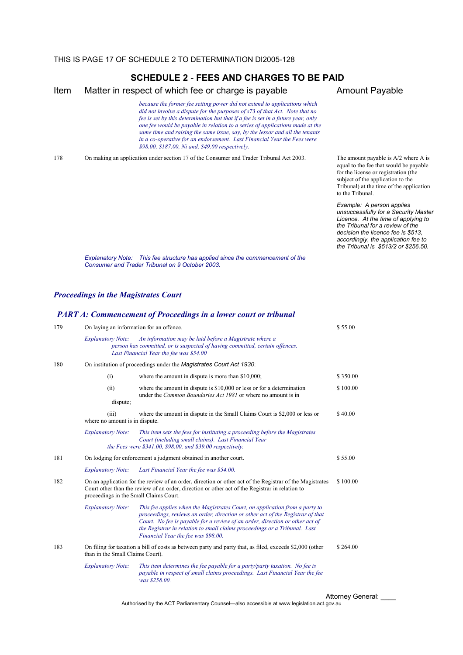Item Matter in respect of which fee or charge is payable Amount Payable

 *because the former fee setting power did not extend to applications which did not involve a dispute for the purposes of s73 of that Act. Note that no fee is set by this determination but that if a fee is set in a future year, only one fee would be payable in relation to a series of applications made at the same time and raising the same issue, say, by the lessor and all the tenants in a co-operative for an endorsement. Last Financial Year the Fees were \$98.00, \$187.00, Ni and, \$49.00 respectively.*

178 On making an application under section 17 of the Consumer and Trader Tribunal Act 2003. The amount payable is A/2 where A is

equal to the fee that would be payable for the license or registration (the subject of the application to the Tribunal) at the time of the application to the Tribunal.

 *Example: A person applies unsuccessfully for a Security Master Licence. At the time of applying to the Tribunal for a review of the decision the licence fee is \$513, accordingly, the application fee to the Tribunal is \$513/2 or \$256.50.* 

*Explanatory Note: This fee structure has applied since the commencement of the Consumer and Trader Tribunal on 9 October 2003.* 

#### *Proceedings in the Magistrates Court*

#### *PART A: Commencement of Proceedings in a lower court or tribunal*

| 179 | On laying an information for an offence. |                                                                                                                                                                                                                                                                                                                                                                   | \$55.00                  |
|-----|------------------------------------------|-------------------------------------------------------------------------------------------------------------------------------------------------------------------------------------------------------------------------------------------------------------------------------------------------------------------------------------------------------------------|--------------------------|
|     | <b>Explanatory Note:</b>                 | An information may be laid before a Magistrate where a<br>person has committed, or is suspected of having committed, certain offences.<br>Last Financial Year the fee was \$54.00                                                                                                                                                                                 |                          |
| 180 |                                          | On institution of proceedings under the <i>Magistrates</i> Court Act 1930:                                                                                                                                                                                                                                                                                        |                          |
|     | (i)                                      | where the amount in dispute is more than \$10,000;                                                                                                                                                                                                                                                                                                                | \$350.00                 |
|     | (ii)                                     | where the amount in dispute is $$10,000$ or less or for a determination<br>under the <i>Common Boundaries Act 1981</i> or where no amount is in                                                                                                                                                                                                                   | \$100.00                 |
|     | dispute;                                 |                                                                                                                                                                                                                                                                                                                                                                   |                          |
|     | (iii)<br>where no amount is in dispute.  | where the amount in dispute in the Small Claims Court is \$2,000 or less or                                                                                                                                                                                                                                                                                       | \$40.00                  |
|     | <b>Explanatory Note:</b>                 | This item sets the fees for instituting a proceeding before the Magistrates<br>Court (including small claims). Last Financial Year<br>the Fees were \$341.00, \$98.00, and \$39.00 respectively.                                                                                                                                                                  |                          |
| 181 |                                          | On lodging for enforcement a judgment obtained in another court.                                                                                                                                                                                                                                                                                                  | \$55.00                  |
|     | <b>Explanatory Note:</b>                 | Last Financial Year the fee was \$54.00.                                                                                                                                                                                                                                                                                                                          |                          |
| 182 | proceedings in the Small Claims Court.   | On an application for the review of an order, direction or other act of the Registrar of the Magistrates<br>Court other than the review of an order, direction or other act of the Registrar in relation to                                                                                                                                                       | \$100.00                 |
|     | <b>Explanatory Note:</b>                 | This fee applies when the Magistrates Court, on application from a party to<br>proceedings, reviews an order, direction or other act of the Registrar of that<br>Court. No fee is payable for a review of an order, direction or other act of<br>the Registrar in relation to small claims proceedings or a Tribunal. Last<br>Financial Year the fee was \$98.00. |                          |
| 183 | than in the Small Claims Court).         | On filing for taxation a bill of costs as between party and party that, as filed, exceeds \$2,000 (other                                                                                                                                                                                                                                                          | \$264.00                 |
|     | <b>Explanatory Note:</b>                 | This item determines the fee payable for a party/party taxation. No fee is<br>payable in respect of small claims proceedings. Last Financial Year the fee<br>was \$258.00.                                                                                                                                                                                        |                          |
|     |                                          |                                                                                                                                                                                                                                                                                                                                                                   | <b>Attorney General:</b> |

Authorised by the ACT Parliamentary Counsel—also accessible at www.legislation.act.gov.au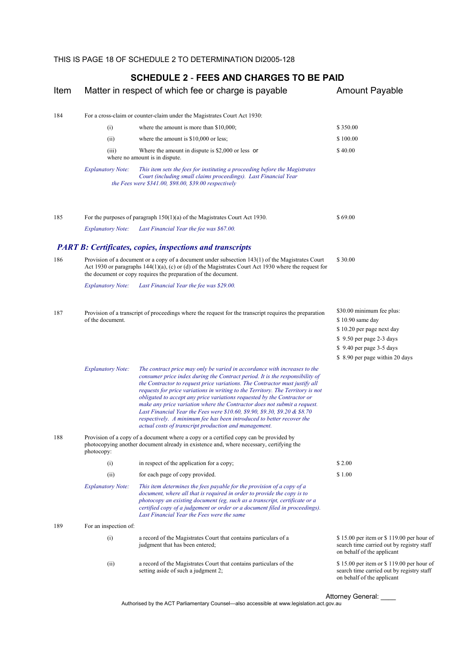| (i)<br>(ii)<br>(iii)     | For a cross-claim or counter-claim under the Magistrates Court Act 1930:<br>where the amount is more than \$10,000;<br>where the amount is \$10,000 or less;                                                                                                                                                                                                                                                                                                                                                                                                                                                                                                                                       | \$350.00                                                                                                                                                                                                                                                                                                                                                                                                                                                                                                                                                                                                                                                                                                                                                                                                                                           |
|--------------------------|----------------------------------------------------------------------------------------------------------------------------------------------------------------------------------------------------------------------------------------------------------------------------------------------------------------------------------------------------------------------------------------------------------------------------------------------------------------------------------------------------------------------------------------------------------------------------------------------------------------------------------------------------------------------------------------------------|----------------------------------------------------------------------------------------------------------------------------------------------------------------------------------------------------------------------------------------------------------------------------------------------------------------------------------------------------------------------------------------------------------------------------------------------------------------------------------------------------------------------------------------------------------------------------------------------------------------------------------------------------------------------------------------------------------------------------------------------------------------------------------------------------------------------------------------------------|
|                          |                                                                                                                                                                                                                                                                                                                                                                                                                                                                                                                                                                                                                                                                                                    |                                                                                                                                                                                                                                                                                                                                                                                                                                                                                                                                                                                                                                                                                                                                                                                                                                                    |
|                          |                                                                                                                                                                                                                                                                                                                                                                                                                                                                                                                                                                                                                                                                                                    |                                                                                                                                                                                                                                                                                                                                                                                                                                                                                                                                                                                                                                                                                                                                                                                                                                                    |
|                          |                                                                                                                                                                                                                                                                                                                                                                                                                                                                                                                                                                                                                                                                                                    | \$100.00                                                                                                                                                                                                                                                                                                                                                                                                                                                                                                                                                                                                                                                                                                                                                                                                                                           |
|                          | Where the amount in dispute is \$2,000 or less or                                                                                                                                                                                                                                                                                                                                                                                                                                                                                                                                                                                                                                                  | \$40.00                                                                                                                                                                                                                                                                                                                                                                                                                                                                                                                                                                                                                                                                                                                                                                                                                                            |
|                          | This item sets the fees for instituting a proceeding before the Magistrates<br>Court (including small claims proceedings). Last Financial Year                                                                                                                                                                                                                                                                                                                                                                                                                                                                                                                                                     |                                                                                                                                                                                                                                                                                                                                                                                                                                                                                                                                                                                                                                                                                                                                                                                                                                                    |
|                          |                                                                                                                                                                                                                                                                                                                                                                                                                                                                                                                                                                                                                                                                                                    | \$69.00                                                                                                                                                                                                                                                                                                                                                                                                                                                                                                                                                                                                                                                                                                                                                                                                                                            |
| <b>Explanatory Note:</b> | Last Financial Year the fee was \$67.00.                                                                                                                                                                                                                                                                                                                                                                                                                                                                                                                                                                                                                                                           |                                                                                                                                                                                                                                                                                                                                                                                                                                                                                                                                                                                                                                                                                                                                                                                                                                                    |
|                          |                                                                                                                                                                                                                                                                                                                                                                                                                                                                                                                                                                                                                                                                                                    |                                                                                                                                                                                                                                                                                                                                                                                                                                                                                                                                                                                                                                                                                                                                                                                                                                                    |
|                          |                                                                                                                                                                                                                                                                                                                                                                                                                                                                                                                                                                                                                                                                                                    | \$30.00                                                                                                                                                                                                                                                                                                                                                                                                                                                                                                                                                                                                                                                                                                                                                                                                                                            |
| <b>Explanatory Note:</b> | Last Financial Year the fee was \$29.00.                                                                                                                                                                                                                                                                                                                                                                                                                                                                                                                                                                                                                                                           |                                                                                                                                                                                                                                                                                                                                                                                                                                                                                                                                                                                                                                                                                                                                                                                                                                                    |
| of the document.         |                                                                                                                                                                                                                                                                                                                                                                                                                                                                                                                                                                                                                                                                                                    | \$30.00 minimum fee plus:<br>\$10.90 same day<br>\$10.20 per page next day<br>\$9.50 per page 2-3 days<br>\$9.40 per page 3-5 days<br>\$ 8.90 per page within 20 days                                                                                                                                                                                                                                                                                                                                                                                                                                                                                                                                                                                                                                                                              |
| <b>Explanatory Note:</b> | The contract price may only be varied in accordance with increases to the<br>consumer price index during the Contract period. It is the responsibility of<br>the Contractor to request price variations. The Contractor must justify all<br>requests for price variations in writing to the Territory. The Territory is not<br>obligated to accept any price variations requested by the Contractor or<br>make any price variation where the Contractor does not submit a request.<br>Last Financial Year the Fees were \$10.60, \$9.90, \$9.30, \$9.20 & \$8.70<br>respectively. A minimum fee has been introduced to better recover the<br>actual costs of transcript production and management. |                                                                                                                                                                                                                                                                                                                                                                                                                                                                                                                                                                                                                                                                                                                                                                                                                                                    |
| photocopy:               |                                                                                                                                                                                                                                                                                                                                                                                                                                                                                                                                                                                                                                                                                                    |                                                                                                                                                                                                                                                                                                                                                                                                                                                                                                                                                                                                                                                                                                                                                                                                                                                    |
| (i)                      | in respect of the application for a copy;                                                                                                                                                                                                                                                                                                                                                                                                                                                                                                                                                                                                                                                          | \$2.00                                                                                                                                                                                                                                                                                                                                                                                                                                                                                                                                                                                                                                                                                                                                                                                                                                             |
| (ii)                     | for each page of copy provided.                                                                                                                                                                                                                                                                                                                                                                                                                                                                                                                                                                                                                                                                    | \$1.00                                                                                                                                                                                                                                                                                                                                                                                                                                                                                                                                                                                                                                                                                                                                                                                                                                             |
| <b>Explanatory Note:</b> | This item determines the fees payable for the provision of a copy of a<br>document, where all that is required in order to provide the copy is to<br>photocopy an existing document (eg, such as a transcript, certificate or a<br>certified copy of a judgement or order or a document filed in proceedings).<br>Last Financial Year the Fees were the same                                                                                                                                                                                                                                                                                                                                       |                                                                                                                                                                                                                                                                                                                                                                                                                                                                                                                                                                                                                                                                                                                                                                                                                                                    |
|                          |                                                                                                                                                                                                                                                                                                                                                                                                                                                                                                                                                                                                                                                                                                    |                                                                                                                                                                                                                                                                                                                                                                                                                                                                                                                                                                                                                                                                                                                                                                                                                                                    |
| (i)                      | a record of the Magistrates Court that contains particulars of a<br>judgment that has been entered;                                                                                                                                                                                                                                                                                                                                                                                                                                                                                                                                                                                                | \$15.00 per item or \$119.00 per hour of<br>search time carried out by registry staff<br>on behalf of the applicant                                                                                                                                                                                                                                                                                                                                                                                                                                                                                                                                                                                                                                                                                                                                |
| (ii)                     | a record of the Magistrates Court that contains particulars of the<br>setting aside of such a judgment 2;                                                                                                                                                                                                                                                                                                                                                                                                                                                                                                                                                                                          | \$15.00 per item or \$119.00 per hour of<br>search time carried out by registry staff<br>on behalf of the applicant                                                                                                                                                                                                                                                                                                                                                                                                                                                                                                                                                                                                                                                                                                                                |
|                          | <b>Explanatory Note:</b>                                                                                                                                                                                                                                                                                                                                                                                                                                                                                                                                                                                                                                                                           | where no amount is in dispute.<br>the Fees were $$341.00, $98.00, $39.00$ respectively<br>For the purposes of paragraph $150(1)(a)$ of the Magistrates Court Act 1930.<br><b>PART B: Certificates, copies, inspections and transcripts</b><br>Provision of a document or a copy of a document under subsection 143(1) of the Magistrates Court<br>Act 1930 or paragraphs $144(1)(a)$ , (c) or (d) of the Magistrates Court Act 1930 where the request for<br>the document or copy requires the preparation of the document.<br>Provision of a transcript of proceedings where the request for the transcript requires the preparation<br>Provision of a copy of a document where a copy or a certified copy can be provided by<br>photocopying another document already in existence and, where necessary, certifying the<br>For an inspection of: |

Attorney General: \_\_\_\_ Authorised by the ACT Parliamentary Counsel—also accessible at www.legislation.act.gov.au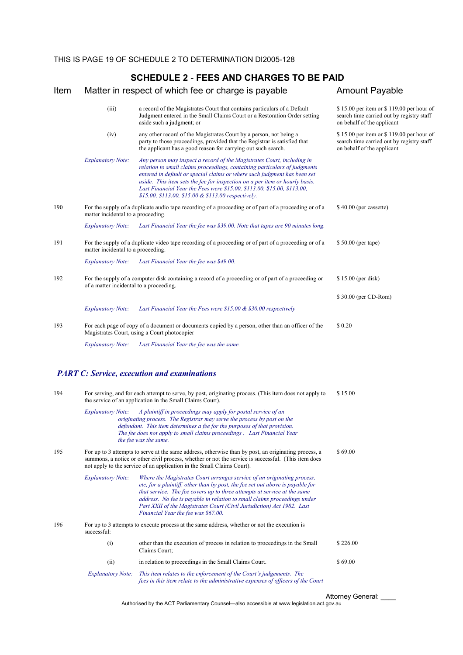#### Item Matter in respect of which fee or charge is payable **Amount Payable**  (iii) a record of the Magistrates Court that contains particulars of a Default Judgment entered in the Small Claims Court or a Restoration Order setting aside such a judgment; or \$ 15.00 per item or \$ 119.00 per hour of search time carried out by registry staff on behalf of the applicant (iv) any other record of the Magistrates Court by a person, not being a party to those proceedings, provided that the Registrar is satisfied that the applicant has a good reason for carrying out such search. \$ 15.00 per item or \$ 119.00 per hour of search time carried out by registry staff on behalf of the applicant *Explanatory Note: Any person may inspect a record of the Magistrates Court, including in relation to small claims proceedings, containing particulars of judgments entered in default or special claims or where such judgment has been set aside. This item sets the fee for inspection on a per item or hourly basis. Last Financial Year the Fees were \$15.00, \$113.00, \$15.00, \$113.00, \$15.00, \$113.00, \$15.00 & \$113.00 respectively.*  190 For the supply of a duplicate audio tape recording of a proceeding or of part of a proceeding or of a matter incidental to a proceeding. \$ 40.00 (per cassette) *Explanatory Note: Last Financial Year the fee was \$39.00. Note that tapes are 90 minutes long.* 191 For the supply of a duplicate video tape recording of a proceeding or of part of a proceeding or of a matter incidental to a proceeding. \$ 50.00 (per tape) *Explanatory Note: Last Financial Year the fee was \$49.00.* 192 For the supply of a computer disk containing a record of a proceeding or of part of a proceeding or of a matter incidental to a proceeding. \$ 15.00 (per disk) \$ 30.00 (per CD-Rom) *Explanatory Note: Last Financial Year the Fees were \$15.00 & \$30.00 respectively* 193 For each page of copy of a document or documents copied by a person, other than an officer of the Magistrates Court, using a Court photocopier \$ 0.20 *Explanatory Note: Last Financial Year the fee was the same. PART C: Service, execution and examinations* 194 For serving, and for each attempt to serve, by post, originating process. (This item does not apply to the service of an application in the Small Claims Court). \$ 15.00 *Explanatory Note: A plaintiff in proceedings may apply for postal service of an originating process. The Registrar may serve the process by post on the defendant. This item determines a fee for the purposes of that provision. The fee does not apply to small claims proceedings . Last Financial Year*

195 For up to 3 attempts to serve at the same address, otherwise than by post, an originating process, a summons, a notice or other civil process, whether or not the service is successful. (This item does not apply to the service of an application in the Small Claims Court). \$ 69.00 *Explanatory Note: Where the Magistrates Court arranges service of an originating process,* 

 *the fee was the same.*

 *etc, for a plaintiff, other than by post, the fee set out above is payable for that service. The fee covers up to three attempts at service at the same*  address. No fee is payable in relation to small claims proceedings under  *Part XXII of the Magistrates Court (Civil Jurisdiction) Act 1982. Last Financial Year the fee was \$67.00.* 196 For up to 3 attempts to execute process at the same address, whether or not the execution is

successful: (i) other than the execution of process in relation to proceedings in the Small \$ 226.00

 Claims Court; (ii) in relation to proceedings in the Small Claims Court.  $$69.00$ *Explanatory Note: This item relates to the enforcement of the Court's judgements. The fees in this item relate to the administrative expenses of officers of the Court* 

Attorney General:

Authorised by the ACT Parliamentary Counsel—also accessible at www.legislation.act.gov.au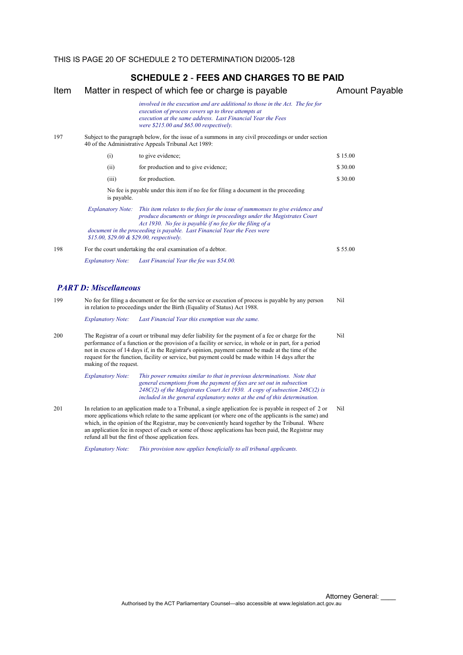| Item |                              | Matter in respect of which fee or charge is payable                                                                                                                                                                                                                                                                                                                                                                      | <b>Amount Payable</b> |
|------|------------------------------|--------------------------------------------------------------------------------------------------------------------------------------------------------------------------------------------------------------------------------------------------------------------------------------------------------------------------------------------------------------------------------------------------------------------------|-----------------------|
|      |                              | involved in the execution and are additional to those in the Act. The fee for<br>execution of process covers up to three attempts at<br>execution at the same address. Last Financial Year the Fees<br>were \$215.00 and \$65.00 respectively.                                                                                                                                                                           |                       |
| 197  |                              | Subject to the paragraph below, for the issue of a summons in any civil proceedings or under section<br>40 of the Administrative Appeals Tribunal Act 1989:                                                                                                                                                                                                                                                              |                       |
|      | (i)                          | to give evidence;                                                                                                                                                                                                                                                                                                                                                                                                        | \$15.00               |
|      | (ii)                         | for production and to give evidence;                                                                                                                                                                                                                                                                                                                                                                                     | \$30.00               |
|      | (iii)                        | for production.                                                                                                                                                                                                                                                                                                                                                                                                          | \$30.00               |
|      | is payable.                  | No fee is payable under this item if no fee for filing a document in the proceeding                                                                                                                                                                                                                                                                                                                                      |                       |
|      | <b>Explanatory Note:</b>     | This item relates to the fees for the issue of summonses to give evidence and<br>produce documents or things in proceedings under the Magistrates Court<br>Act 1930. No fee is payable if no fee for the filing of a<br>document in the proceeding is payable. Last Financial Year the Fees were<br>\$15.00, \$29.00 & \$29.00, respectively.                                                                            |                       |
| 198  |                              | For the court undertaking the oral examination of a debtor.                                                                                                                                                                                                                                                                                                                                                              | \$55.00               |
|      | <b>Explanatory Note:</b>     | Last Financial Year the fee was \$54.00.                                                                                                                                                                                                                                                                                                                                                                                 |                       |
|      | <b>PART D: Miscellaneous</b> |                                                                                                                                                                                                                                                                                                                                                                                                                          |                       |
| 199  |                              | No fee for filing a document or fee for the service or execution of process is payable by any person<br>in relation to proceedings under the Birth (Equality of Status) Act 1988.                                                                                                                                                                                                                                        | Nil                   |
|      | <b>Explanatory Note:</b>     | Last Financial Year this exemption was the same.                                                                                                                                                                                                                                                                                                                                                                         |                       |
| 200  | making of the request.       | The Registrar of a court or tribunal may defer liability for the payment of a fee or charge for the<br>performance of a function or the provision of a facility or service, in whole or in part, for a period<br>not in excess of 14 days if, in the Registrar's opinion, payment cannot be made at the time of the<br>request for the function, facility or service, but payment could be made within 14 days after the | Nil                   |
|      | <b>Explanatory Note:</b>     | This power remains similar to that in previous determinations. Note that<br>general exemptions from the payment of fees are set out in subsection<br>248C(2) of the Magistrates Court Act 1930. A copy of subsection 248C(2) is<br>included in the general explanatory notes at the end of this determination.                                                                                                           |                       |
| 201  |                              | In relation to an application made to a Tribunal, a single application fee is payable in respect of 2 or<br>more applications which relate to the same applicant (or where one of the applicants is the same) and<br>which, in the opinion of the Registrar, may be conveniently heard together by the Tribunal. Where                                                                                                   | Nil                   |

an application fee in respect of each or some of those applications has been paid, the Registrar may refund all but the first of those application fees.

*Explanatory Note: This provision now applies beneficially to all tribunal applicants.*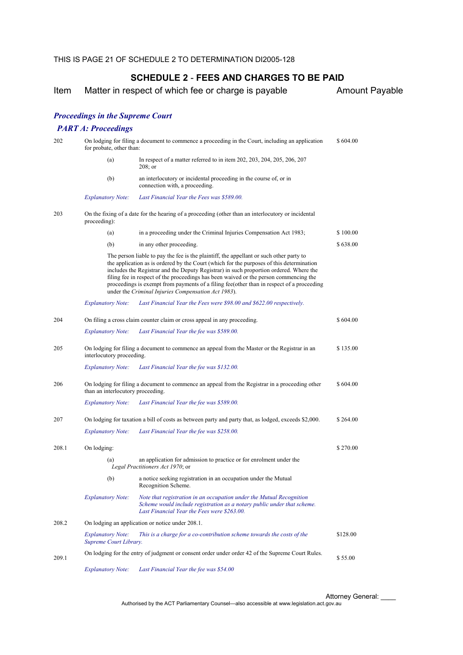Item Matter in respect of which fee or charge is payable **Amount Payable** 

#### *Proceedings in the Supreme Court*

#### *PART A: Proceedings*

| 202   | On lodging for filing a document to commence a proceeding in the Court, including an application<br>for probate, other than: |                                                                                                                                                                                                                                                                                                                                                                                                                                                                                                                            |          |  |
|-------|------------------------------------------------------------------------------------------------------------------------------|----------------------------------------------------------------------------------------------------------------------------------------------------------------------------------------------------------------------------------------------------------------------------------------------------------------------------------------------------------------------------------------------------------------------------------------------------------------------------------------------------------------------------|----------|--|
|       | (a)                                                                                                                          | In respect of a matter referred to in item 202, 203, 204, 205, 206, 207<br>$208$ ; or                                                                                                                                                                                                                                                                                                                                                                                                                                      |          |  |
|       | (b)                                                                                                                          | an interlocutory or incidental proceeding in the course of, or in<br>connection with, a proceeding.                                                                                                                                                                                                                                                                                                                                                                                                                        |          |  |
|       | <b>Explanatory Note:</b>                                                                                                     | Last Financial Year the Fees was \$589.00.                                                                                                                                                                                                                                                                                                                                                                                                                                                                                 |          |  |
| 203   | proceeding):                                                                                                                 | On the fixing of a date for the hearing of a proceeding (other than an interlocutory or incidental                                                                                                                                                                                                                                                                                                                                                                                                                         |          |  |
|       | (a)                                                                                                                          | in a proceeding under the Criminal Injuries Compensation Act 1983;                                                                                                                                                                                                                                                                                                                                                                                                                                                         | \$100.00 |  |
|       | (b)                                                                                                                          | in any other proceeding.                                                                                                                                                                                                                                                                                                                                                                                                                                                                                                   | \$638.00 |  |
|       |                                                                                                                              | The person liable to pay the fee is the plaintiff, the appellant or such other party to<br>the application as is ordered by the Court (which for the purposes of this determination<br>includes the Registrar and the Deputy Registrar) in such proportion ordered. Where the<br>filing fee in respect of the proceedings has been waived or the person commencing the<br>proceedings is exempt from payments of a filing fee(other than in respect of a proceeding<br>under the Criminal Injuries Compensation Act 1983). |          |  |
|       | <b>Explanatory Note:</b>                                                                                                     | Last Financial Year the Fees were \$98.00 and \$622.00 respectively.                                                                                                                                                                                                                                                                                                                                                                                                                                                       |          |  |
| 204   |                                                                                                                              | On filing a cross claim counter claim or cross appeal in any proceeding.                                                                                                                                                                                                                                                                                                                                                                                                                                                   | \$604.00 |  |
|       | <b>Explanatory Note:</b>                                                                                                     | Last Financial Year the fee was \$589.00.                                                                                                                                                                                                                                                                                                                                                                                                                                                                                  |          |  |
| 205   | On lodging for filing a document to commence an appeal from the Master or the Registrar in an<br>interlocutory proceeding.   |                                                                                                                                                                                                                                                                                                                                                                                                                                                                                                                            | \$135.00 |  |
|       | <b>Explanatory Note:</b>                                                                                                     | Last Financial Year the fee was \$132.00.                                                                                                                                                                                                                                                                                                                                                                                                                                                                                  |          |  |
| 206   | than an interlocutory proceeding.                                                                                            | On lodging for filing a document to commence an appeal from the Registrar in a proceeding other                                                                                                                                                                                                                                                                                                                                                                                                                            | \$604.00 |  |
|       | <b>Explanatory Note:</b>                                                                                                     | Last Financial Year the fee was \$589.00.                                                                                                                                                                                                                                                                                                                                                                                                                                                                                  |          |  |
| 207   |                                                                                                                              | On lodging for taxation a bill of costs as between party and party that, as lodged, exceeds \$2,000.                                                                                                                                                                                                                                                                                                                                                                                                                       | \$264.00 |  |
|       | <b>Explanatory Note:</b>                                                                                                     | Last Financial Year the fee was \$258.00.                                                                                                                                                                                                                                                                                                                                                                                                                                                                                  |          |  |
| 208.1 | On lodging:                                                                                                                  |                                                                                                                                                                                                                                                                                                                                                                                                                                                                                                                            | \$270.00 |  |
|       | (a)                                                                                                                          | an application for admission to practice or for enrolment under the<br>Legal Practitioners Act 1970; or                                                                                                                                                                                                                                                                                                                                                                                                                    |          |  |
|       | (b)                                                                                                                          | a notice seeking registration in an occupation under the Mutual<br>Recognition Scheme.                                                                                                                                                                                                                                                                                                                                                                                                                                     |          |  |
|       | <b>Explanatory Note:</b>                                                                                                     | Note that registration in an occupation under the Mutual Recognition<br>Scheme would include registration as a notary public under that scheme.<br>Last Financial Year the Fees were \$263.00.                                                                                                                                                                                                                                                                                                                             |          |  |
| 208.2 | On lodging an application or notice under 208.1.                                                                             |                                                                                                                                                                                                                                                                                                                                                                                                                                                                                                                            |          |  |
|       | <i>Explanatory Note:</i><br>Supreme Court Library.                                                                           | This is a charge for a co-contribution scheme towards the costs of the                                                                                                                                                                                                                                                                                                                                                                                                                                                     | \$128.00 |  |
| 209.1 |                                                                                                                              | On lodging for the entry of judgment or consent order under order 42 of the Supreme Court Rules.                                                                                                                                                                                                                                                                                                                                                                                                                           | \$55.00  |  |
|       | <b>Explanatory Note:</b>                                                                                                     | Last Financial Year the fee was \$54.00                                                                                                                                                                                                                                                                                                                                                                                                                                                                                    |          |  |

Attorney General: \_\_\_\_ Authorised by the ACT Parliamentary Counsel—also accessible at www.legislation.act.gov.au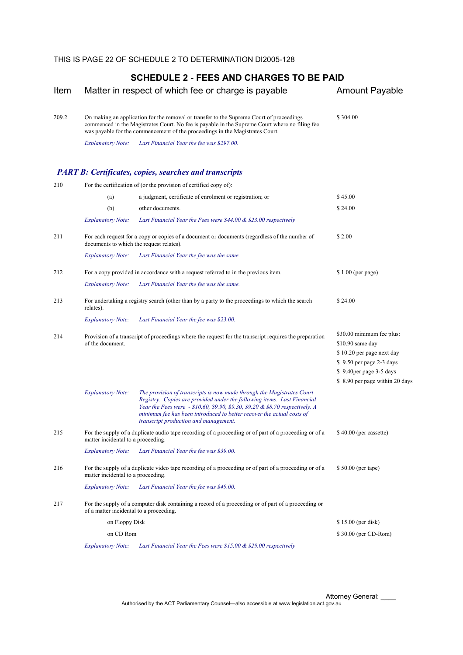| Item  |                                          | Matter in respect of which fee or charge is payable                                                                                                                                                                                                                                                                                                  | <b>Amount Payable</b>                                                                                                                                                 |
|-------|------------------------------------------|------------------------------------------------------------------------------------------------------------------------------------------------------------------------------------------------------------------------------------------------------------------------------------------------------------------------------------------------------|-----------------------------------------------------------------------------------------------------------------------------------------------------------------------|
| 209.2 |                                          | On making an application for the removal or transfer to the Supreme Court of proceedings<br>commenced in the Magistrates Court. No fee is payable in the Supreme Court where no filing fee<br>was payable for the commencement of the proceedings in the Magistrates Court.                                                                          | \$304.00                                                                                                                                                              |
|       | <i>Explanatory Note:</i>                 | Last Financial Year the fee was \$297.00.                                                                                                                                                                                                                                                                                                            |                                                                                                                                                                       |
|       |                                          | <b>PART B: Certificates, copies, searches and transcripts</b>                                                                                                                                                                                                                                                                                        |                                                                                                                                                                       |
| 210   |                                          | For the certification of (or the provision of certified copy of):                                                                                                                                                                                                                                                                                    |                                                                                                                                                                       |
|       | (a)                                      | a judgment, certificate of enrolment or registration; or                                                                                                                                                                                                                                                                                             | \$45.00                                                                                                                                                               |
|       | (b)                                      | other documents.                                                                                                                                                                                                                                                                                                                                     | \$24.00                                                                                                                                                               |
|       | <b>Explanatory Note:</b>                 | Last Financial Year the Fees were $$44.00 \& $23.00$ respectively                                                                                                                                                                                                                                                                                    |                                                                                                                                                                       |
| 211   | documents to which the request relates). | For each request for a copy or copies of a document or documents (regardless of the number of                                                                                                                                                                                                                                                        | \$2.00                                                                                                                                                                |
|       | <b>Explanatory Note:</b>                 | Last Financial Year the fee was the same.                                                                                                                                                                                                                                                                                                            |                                                                                                                                                                       |
| 212   |                                          | For a copy provided in accordance with a request referred to in the previous item.                                                                                                                                                                                                                                                                   | $$1.00$ (per page)                                                                                                                                                    |
|       | <b>Explanatory Note:</b>                 | Last Financial Year the fee was the same.                                                                                                                                                                                                                                                                                                            |                                                                                                                                                                       |
| 213   | relates).                                | For undertaking a registry search (other than by a party to the proceedings to which the search                                                                                                                                                                                                                                                      | \$24.00                                                                                                                                                               |
|       | <i>Explanatory Note:</i>                 | Last Financial Year the fee was \$23.00.                                                                                                                                                                                                                                                                                                             |                                                                                                                                                                       |
| 214   | of the document.                         | Provision of a transcript of proceedings where the request for the transcript requires the preparation                                                                                                                                                                                                                                               | \$30.00 minimum fee plus:<br>\$10.90 same day<br>\$10.20 per page next day<br>\$9.50 per page 2-3 days<br>\$9.40 per page 3-5 days<br>\$ 8.90 per page within 20 days |
|       | <b>Explanatory Note:</b>                 | The provision of transcripts is now made through the Magistrates Court<br>Registry. Copies are provided under the following items. Last Financial<br>Year the Fees were - \$10.60, \$9.90, \$9.30, \$9.20 & \$8.70 respectively. A<br>minimum fee has been introduced to better recover the actual costs of<br>transcript production and management. |                                                                                                                                                                       |
| 215   | matter incidental to a proceeding.       | For the supply of a duplicate audio tape recording of a proceeding or of part of a proceeding or of a                                                                                                                                                                                                                                                | \$40.00 (per cassette)                                                                                                                                                |
|       | <b>Explanatory Note:</b>                 | Last Financial Year the fee was \$39.00.                                                                                                                                                                                                                                                                                                             |                                                                                                                                                                       |
| 216   | matter incidental to a proceeding.       | For the supply of a duplicate video tape recording of a proceeding or of part of a proceeding or of a                                                                                                                                                                                                                                                | \$50.00 (per tape)                                                                                                                                                    |
|       | <b>Explanatory Note:</b>                 | Last Financial Year the fee was \$49.00.                                                                                                                                                                                                                                                                                                             |                                                                                                                                                                       |
| 217   | of a matter incidental to a proceeding.  | For the supply of a computer disk containing a record of a proceeding or of part of a proceeding or                                                                                                                                                                                                                                                  |                                                                                                                                                                       |
|       | on Floppy Disk                           |                                                                                                                                                                                                                                                                                                                                                      | \$15.00 (per disk)                                                                                                                                                    |
|       | on CD Rom                                |                                                                                                                                                                                                                                                                                                                                                      | \$30.00 (per CD-Rom)                                                                                                                                                  |
|       | <b>Explanatory Note:</b>                 | Last Financial Year the Fees were $$15.00 \& $29.00$ respectively                                                                                                                                                                                                                                                                                    |                                                                                                                                                                       |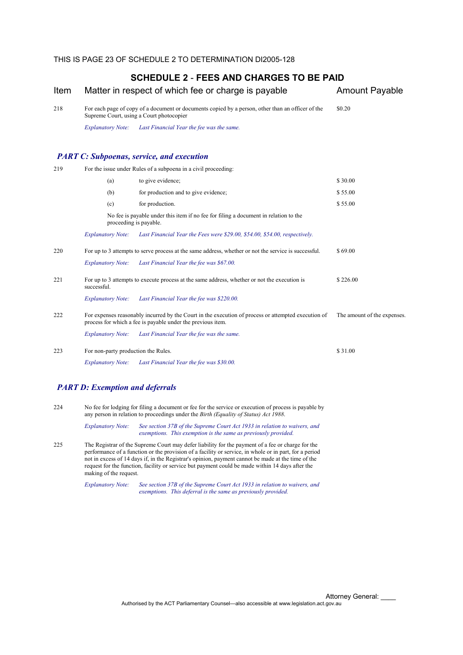| Item |                                     | Matter in respect of which fee or charge is payable                                                                                                                | <b>Amount Payable</b>       |
|------|-------------------------------------|--------------------------------------------------------------------------------------------------------------------------------------------------------------------|-----------------------------|
| 218  |                                     | For each page of copy of a document or documents copied by a person, other than an officer of the<br>Supreme Court, using a Court photocopier                      | \$0.20                      |
|      | <b>Explanatory Note:</b>            | Last Financial Year the fee was the same.                                                                                                                          |                             |
|      |                                     | <b>PART C: Subpoenas, service, and execution</b>                                                                                                                   |                             |
| 219  |                                     | For the issue under Rules of a subpoena in a civil proceeding:                                                                                                     |                             |
|      | (a)                                 | to give evidence;                                                                                                                                                  | \$30.00                     |
|      | (b)                                 | for production and to give evidence;                                                                                                                               | \$55.00                     |
|      | (c)                                 | for production.                                                                                                                                                    | \$55.00                     |
|      | proceeding is payable.              | No fee is payable under this item if no fee for filing a document in relation to the                                                                               |                             |
|      | <b>Explanatory Note:</b>            | Last Financial Year the Fees were \$29.00, \$54.00, \$54.00, respectively.                                                                                         |                             |
| 220  |                                     | For up to 3 attempts to serve process at the same address, whether or not the service is successful.                                                               | \$69.00                     |
|      | <b>Explanatory Note:</b>            | Last Financial Year the fee was \$67.00.                                                                                                                           |                             |
| 221  | successful.                         | For up to 3 attempts to execute process at the same address, whether or not the execution is                                                                       | \$226.00                    |
|      | <b>Explanatory Note:</b>            | Last Financial Year the fee was \$220.00.                                                                                                                          |                             |
| 222  |                                     | For expenses reasonably incurred by the Court in the execution of process or attempted execution of<br>process for which a fee is payable under the previous item. | The amount of the expenses. |
|      | <b>Explanatory Note:</b>            | Last Financial Year the fee was the same.                                                                                                                          |                             |
| 223  | For non-party production the Rules. |                                                                                                                                                                    | \$31.00                     |
|      | <b>Explanatory Note:</b>            | Last Financial Year the fee was \$30.00.                                                                                                                           |                             |
|      |                                     |                                                                                                                                                                    |                             |

## *PART D: Exemption and deferrals*

224 No fee for lodging for filing a document or fee for the service or execution of process is payable by any person in relation to proceedings under the *Birth (Equality of Status) Act 1988*.

> *Explanatory Note: See section 37B of the Supreme Court Act 1933 in relation to waivers, and exemptions. This exemption is the same as previously provided.*

225 The Registrar of the Supreme Court may defer liability for the payment of a fee or charge for the performance of a function or the provision of a facility or service, in whole or in part, for a period not in excess of 14 days if, in the Registrar's opinion, payment cannot be made at the time of the request for the function, facility or service but payment could be made within 14 days after the making of the request.

> *Explanatory Note: See section 37B of the Supreme Court Act 1933 in relation to waivers, and exemptions. This deferral is the same as previously provided.*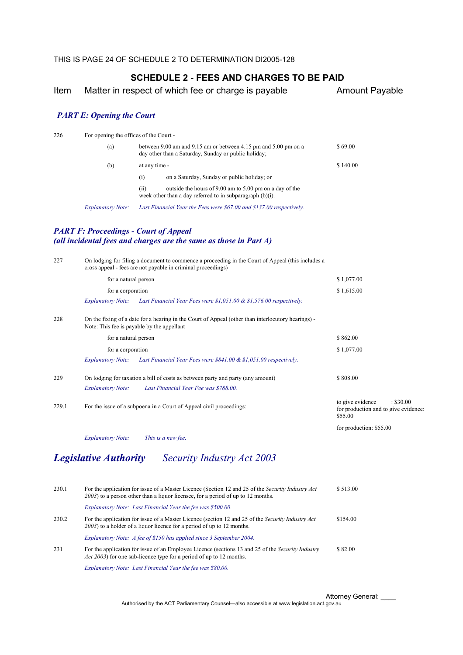Item Matter in respect of which fee or charge is payable **Amount Payable** 

#### *PART E: Opening the Court*

| 226 |  |  | For opening the offices of the Court - |
|-----|--|--|----------------------------------------|
|-----|--|--|----------------------------------------|

|                          | (a)              | between 9.00 am and 9.15 am or between 4.15 pm and 5.00 pm on a<br>day other than a Saturday, Sunday or public holiday; | \$69.00  |
|--------------------------|------------------|-------------------------------------------------------------------------------------------------------------------------|----------|
| (b)                      | at any time -    |                                                                                                                         | \$140.00 |
|                          | $\left(1\right)$ | on a Saturday, Sunday or public holiday; or                                                                             |          |
|                          | (11)             | outside the hours of 9.00 am to 5.00 pm on a day of the<br>week other than a day referred to in subparagraph $(b)(i)$ . |          |
| <b>Explanatory Note:</b> |                  | Last Financial Year the Fees were \$67.00 and \$137.00 respectively.                                                    |          |

#### *PART F: Proceedings - Court of Appeal (all incidental fees and charges are the same as those in Part A)*

| 227   |                                            | On lodging for filing a document to commence a proceeding in the Court of Appeal (this includes a<br>cross appeal - fees are not payable in criminal proceedings) |                                                                                  |
|-------|--------------------------------------------|-------------------------------------------------------------------------------------------------------------------------------------------------------------------|----------------------------------------------------------------------------------|
|       | for a natural person                       |                                                                                                                                                                   | \$1,077.00                                                                       |
|       | for a corporation                          |                                                                                                                                                                   | \$1,615.00                                                                       |
|       | <b>Explanatory Note:</b>                   | Last Financial Year Fees were \$1,051.00 & \$1,576.00 respectively.                                                                                               |                                                                                  |
| 228   | Note: This fee is payable by the appellant | On the fixing of a date for a hearing in the Court of Appeal (other than interlocutory hearings) -                                                                |                                                                                  |
|       | for a natural person                       |                                                                                                                                                                   | \$862.00                                                                         |
|       | for a corporation                          |                                                                                                                                                                   | \$1,077.00                                                                       |
|       | <i>Explanatory Note:</i>                   | Last Financial Year Fees were $$841.00 \& $1,051.00$ respectively.                                                                                                |                                                                                  |
| 229   |                                            | On lodging for taxation a bill of costs as between party and party (any amount)                                                                                   | \$808.00                                                                         |
|       | <b>Explanatory Note:</b>                   | Last Financial Year Fee was \$788.00.                                                                                                                             |                                                                                  |
| 229.1 |                                            | For the issue of a subpoena in a Court of Appeal civil proceedings:                                                                                               | to give evidence<br>: \$30.00<br>for production and to give evidence:<br>\$55.00 |
|       |                                            |                                                                                                                                                                   | for production: \$55.00                                                          |
|       | <b>Explanatory Note:</b>                   | This is a new fee.                                                                                                                                                |                                                                                  |
|       |                                            |                                                                                                                                                                   |                                                                                  |

# *Legislative Authority Security Industry Act 2003*

| 230.1 | For the application for issue of a Master Licence (Section 12 and 25 of the Security Industry Act<br>2003) to a person other than a liquor licensee, for a period of up to 12 months.   | \$513.00 |
|-------|-----------------------------------------------------------------------------------------------------------------------------------------------------------------------------------------|----------|
|       | Explanatory Note: Last Financial Year the fee was \$500.00.                                                                                                                             |          |
| 230.2 | For the application for issue of a Master Licence (section 12 and 25 of the Security Industry Act<br>2003) to a holder of a liquor licence for a period of up to 12 months.             | \$154.00 |
|       | Explanatory Note: A fee of \$150 has applied since 3 September 2004.                                                                                                                    |          |
| 231   | For the application for issue of an Employee Licence (sections 13 and 25 of the <i>Security Industry</i><br><i>Act 2003</i> ) for one sub-licence type for a period of up to 12 months. | \$82.00  |
|       | Explanatory Note: Last Financial Year the fee was \$80.00.                                                                                                                              |          |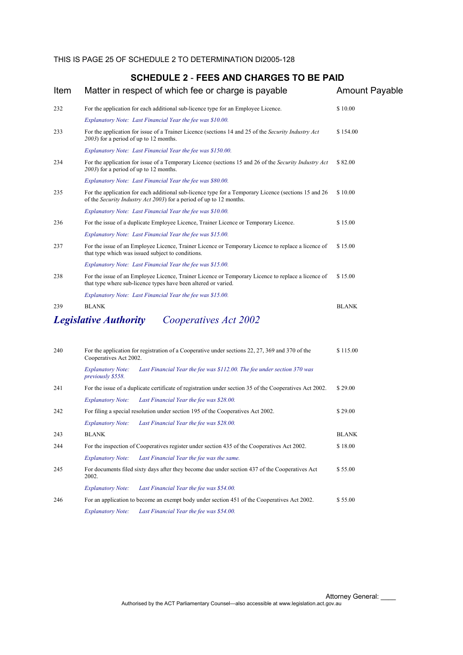*Explanatory Note: Last Financial Year the fee was \$28.00.* 

*Explanatory Note: Last Financial Year the fee was the same.* 

*Explanatory Note: Last Financial Year the fee was \$54.00.* 

*Explanatory Note: Last Financial Year the fee was \$54.00.* 

2002.

245 For documents filed sixty days after they become due under section 437 of the Cooperatives Act

243 BLANK BLANK 244 For the inspection of Cooperatives register under section 435 of the Cooperatives Act 2002. \$ 18.00

246 For an application to become an exempt body under section 451 of the Cooperatives Act 2002. \$ 55.00

## **SCHEDULE 2** - **FEES AND CHARGES TO BE PAID**

| Item | Matter in respect of which fee or charge is payable                                                                                                                                 | <b>Amount Payable</b> |
|------|-------------------------------------------------------------------------------------------------------------------------------------------------------------------------------------|-----------------------|
| 232  | For the application for each additional sub-licence type for an Employee Licence.                                                                                                   | \$10.00               |
|      | Explanatory Note: Last Financial Year the fee was \$10.00.                                                                                                                          |                       |
| 233  | For the application for issue of a Trainer Licence (sections 14 and 25 of the Security Industry Act<br>2003) for a period of up to 12 months.                                       | \$154.00              |
|      | Explanatory Note: Last Financial Year the fee was \$150.00.                                                                                                                         |                       |
| 234  | For the application for issue of a Temporary Licence (sections 15 and 26 of the Security Industry Act<br>2003) for a period of up to 12 months.                                     | \$82.00               |
|      | Explanatory Note: Last Financial Year the fee was \$80.00.                                                                                                                          |                       |
| 235  | For the application for each additional sub-licence type for a Temporary Licence (sections 15 and 26<br>of the <i>Security Industry Act 2003</i> ) for a period of up to 12 months. | \$10.00               |
|      | Explanatory Note: Last Financial Year the fee was \$10.00.                                                                                                                          |                       |
| 236  | For the issue of a duplicate Employee Licence, Trainer Licence or Temporary Licence.                                                                                                | \$15.00               |
|      | Explanatory Note: Last Financial Year the fee was \$15.00.                                                                                                                          |                       |
| 237  | For the issue of an Employee Licence, Trainer Licence or Temporary Licence to replace a licence of<br>that type which was issued subject to conditions.                             | \$15.00               |
|      | Explanatory Note: Last Financial Year the fee was \$15.00.                                                                                                                          |                       |
| 238  | For the issue of an Employee Licence, Trainer Licence or Temporary Licence to replace a licence of<br>that type where sub-licence types have been altered or varied.                | \$15.00               |
|      | Explanatory Note: Last Financial Year the fee was \$15.00.                                                                                                                          |                       |
| 239  | <b>BLANK</b>                                                                                                                                                                        | <b>BLANK</b>          |
|      | <b>Legislative Authority</b><br>Cooperatives Act 2002                                                                                                                               |                       |
| 240  | For the application for registration of a Cooperative under sections 22, 27, 369 and 370 of the                                                                                     | \$115.00              |
|      | Cooperatives Act 2002.                                                                                                                                                              |                       |
|      | Last Financial Year the fee was \$112.00. The fee under section 370 was<br><b>Explanatory Note:</b><br>previously \$558.                                                            |                       |
| 241  | For the issue of a duplicate certificate of registration under section 35 of the Cooperatives Act 2002.                                                                             | \$29.00               |
|      | <b>Explanatory Note:</b><br>Last Financial Year the fee was \$28.00.                                                                                                                |                       |
| 242  | For filing a special resolution under section 195 of the Cooperatives Act 2002.                                                                                                     | \$29.00               |

\$ 55.00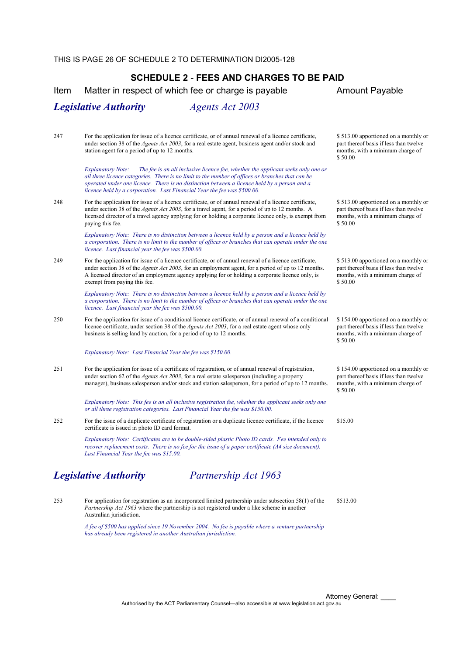Item Matter in respect of which fee or charge is payable **Amount Payable** 

#### *Legislative Authority Agents Act 2003*

247 For the application for issue of a licence certificate, or of annual renewal of a licence certificate, under section 38 of the *Agents Act 2003*, for a real estate agent, business agent and/or stock and station agent for a period of up to 12 months.

> *Explanatory Note: The fee is an all inclusive licence fee, whether the applicant seeks only one or all three licence categories. There is no limit to the number of offices or branches that can be operated under one licence. There is no distinction between a licence held by a person and a licence held by a corporation. Last Financial Year the fee was \$500.00.*

248 For the application for issue of a licence certificate, or of annual renewal of a licence certificate, under section 38 of the *Agents Act 2003*, for a travel agent, for a period of up to 12 months. A licensed director of a travel agency applying for or holding a corporate licence only, is exempt from paying this fee.

> *Explanatory Note: There is no distinction between a licence held by a person and a licence held by a corporation. There is no limit to the number of offices or branches that can operate under the one licence. Last financial year the fee was \$500.00.*

249 For the application for issue of a licence certificate, or of annual renewal of a licence certificate, under section 38 of the *Agents Act 2003*, for an employment agent, for a period of up to 12 months. A licensed director of an employment agency applying for or holding a corporate licence only, is exempt from paying this fee.

> *Explanatory Note: There is no distinction between a licence held by a person and a licence held by a corporation. There is no limit to the number of offices or branches that can operate under the one licence. Last financial year the fee was \$500.00.*

250 For the application for issue of a conditional licence certificate, or of annual renewal of a conditional licence certificate, under section 38 of the *Agents Act 2003*, for a real estate agent whose only business is selling land by auction, for a period of up to 12 months.

*Explanatory Note: Last Financial Year the fee was \$150.00.* 

251 For the application for issue of a certificate of registration, or of annual renewal of registration, under section 62 of the *Agents Act 2003*, for a real estate salesperson (including a property manager), business salesperson and/or stock and station salesperson, for a period of up to 12 months.

> *Explanatory Note: This fee is an all inclusive registration fee, whether the applicant seeks only one or all three registration categories. Last Financial Year the fee was \$150.00.*

252 For the issue of a duplicate certificate of registration or a duplicate licence certificate, if the licence certificate is issued in photo ID card format.

> *Explanatory Note: Certificates are to be double-sided plastic Photo ID cards. Fee intended only to recover replacement costs. There is no fee for the issue of a paper certificate (A4 size document). Last Financial Year the fee was \$15.00.*

# *Legislative Authority Partnership Act 1963*

253 For application for registration as an incorporated limited partnership under subsection 58(1) of the *Partnership Act 1963* where the partnership is not registered under a like scheme in another Australian jurisdiction.

> *A fee of \$500 has applied since 19 November 2004. No fee is payable where a venture partnership has already been registered in another Australian jurisdiction.*

\$ 513.00 apportioned on a monthly or part thereof basis if less than twelve months, with a minimum charge of \$ 50.00

\$ 513.00 apportioned on a monthly or part thereof basis if less than twelve months, with a minimum charge of \$ 50.00

\$ 513.00 apportioned on a monthly or part thereof basis if less than twelve months, with a minimum charge of \$ 50.00

\$154.00 apportioned on a monthly or part thereof basis if less than twelve months, with a minimum charge of \$ 50.00

\$ 154.00 apportioned on a monthly or part thereof basis if less than twelve months, with a minimum charge of \$ 50.00

\$15.00

\$513.00